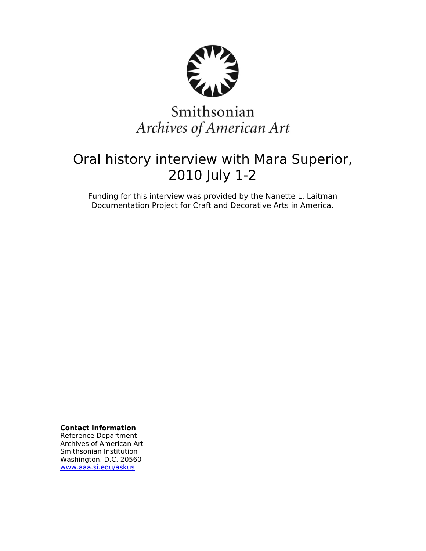

# Smithsonian Archives of American Art

# Oral history interview with Mara Superior, 2010 July 1-2

Funding for this interview was provided by the Nanette L. Laitman Documentation Project for Craft and Decorative Arts in America.

**Contact Information**

Reference Department Archives of American Art Smithsonian Institution Washington. D.C. 20560 [www.aaa.si.edu/askus](http://www.aaa.si.edu/askus)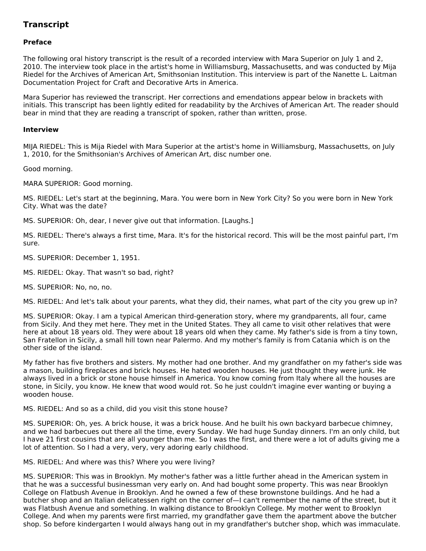# **Transcript**

# **Preface**

The following oral history transcript is the result of a recorded interview with Mara Superior on July 1 and 2, 2010. The interview took place in the artist's home in Williamsburg, Massachusetts, and was conducted by Mija Riedel for the Archives of American Art, Smithsonian Institution. This interview is part of the Nanette L. Laitman Documentation Project for Craft and Decorative Arts in America.

Mara Superior has reviewed the transcript. Her corrections and emendations appear below in brackets with initials. This transcript has been lightly edited for readability by the Archives of American Art. The reader should bear in mind that they are reading a transcript of spoken, rather than written, prose.

#### **Interview**

MIJA RIEDEL: This is Mija Riedel with Mara Superior at the artist's home in Williamsburg, Massachusetts, on July 1, 2010, for the Smithsonian's Archives of American Art, disc number one.

Good morning.

MARA SUPERIOR: Good morning.

MS. RIEDEL: Let's start at the beginning, Mara. You were born in New York City? So you were born in New York City. What was the date?

MS. SUPERIOR: Oh, dear, I never give out that information. [Laughs.]

MS. RIEDEL: There's always a first time, Mara. It's for the historical record. This will be the most painful part, I'm sure.

MS. SUPERIOR: December 1, 1951.

MS. RIEDEL: Okay. That wasn't so bad, right?

MS. SUPERIOR: No, no, no.

MS. RIEDEL: And let's talk about your parents, what they did, their names, what part of the city you grew up in?

MS. SUPERIOR: Okay. I am a typical American third-generation story, where my grandparents, all four, came from Sicily. And they met here. They met in the United States. They all came to visit other relatives that were here at about 18 years old. They were about 18 years old when they came. My father's side is from a tiny town, San Fratellon in Sicily, a small hill town near Palermo. And my mother's family is from Catania which is on the other side of the island.

My father has five brothers and sisters. My mother had one brother. And my grandfather on my father's side was a mason, building fireplaces and brick houses. He hated wooden houses. He just thought they were junk. He always lived in a brick or stone house himself in America. You know coming from Italy where all the houses are stone, in Sicily, you know. He knew that wood would rot. So he just couldn't imagine ever wanting or buying a wooden house.

#### MS. RIEDEL: And so as a child, did you visit this stone house?

MS. SUPERIOR: Oh, yes. A brick house, it was a brick house. And he built his own backyard barbecue chimney, and we had barbecues out there all the time, every Sunday. We had huge Sunday dinners. I'm an only child, but I have 21 first cousins that are all younger than me. So I was the first, and there were a lot of adults giving me a lot of attention. So I had a very, very, very adoring early childhood.

MS. RIEDEL: And where was this? Where you were living?

MS. SUPERIOR: This was in Brooklyn. My mother's father was a little further ahead in the American system in that he was a successful businessman very early on. And had bought some property. This was near Brooklyn College on Flatbush Avenue in Brooklyn. And he owned a few of these brownstone buildings. And he had a butcher shop and an Italian delicatessen right on the corner of—I can't remember the name of the street, but it was Flatbush Avenue and something. In walking distance to Brooklyn College. My mother went to Brooklyn College. And when my parents were first married, my grandfather gave them the apartment above the butcher shop. So before kindergarten I would always hang out in my grandfather's butcher shop, which was immaculate.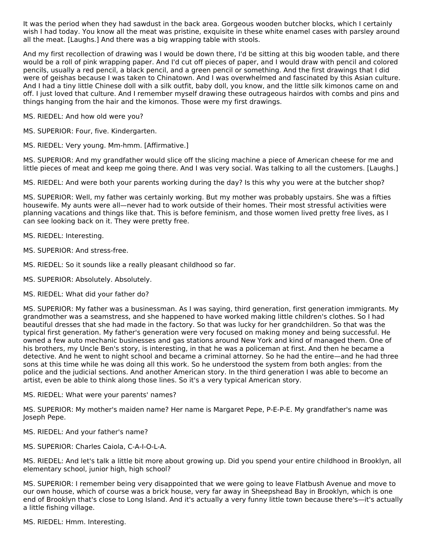It was the period when they had sawdust in the back area. Gorgeous wooden butcher blocks, which I certainly wish I had today. You know all the meat was pristine, exquisite in these white enamel cases with parsley around all the meat. [Laughs.] And there was a big wrapping table with stools.

And my first recollection of drawing was I would be down there, I'd be sitting at this big wooden table, and there would be a roll of pink wrapping paper. And I'd cut off pieces of paper, and I would draw with pencil and colored pencils, usually a red pencil, a black pencil, and a green pencil or something. And the first drawings that I did were of geishas because I was taken to Chinatown. And I was overwhelmed and fascinated by this Asian culture. And I had a tiny little Chinese doll with a silk outfit, baby doll, you know, and the little silk kimonos came on and off. I just loved that culture. And I remember myself drawing these outrageous hairdos with combs and pins and things hanging from the hair and the kimonos. Those were my first drawings.

MS. RIEDEL: And how old were you?

MS. SUPERIOR: Four, five. Kindergarten.

MS. RIEDEL: Very young. Mm-hmm. [Affirmative.]

MS. SUPERIOR: And my grandfather would slice off the slicing machine a piece of American cheese for me and little pieces of meat and keep me going there. And I was very social. Was talking to all the customers. [Laughs.]

MS. RIEDEL: And were both your parents working during the day? Is this why you were at the butcher shop?

MS. SUPERIOR: Well, my father was certainly working. But my mother was probably upstairs. She was a fifties housewife. My aunts were all—never had to work outside of their homes. Their most stressful activities were planning vacations and things like that. This is before feminism, and those women lived pretty free lives, as I can see looking back on it. They were pretty free.

MS. RIEDEL: Interesting.

MS. SUPERIOR: And stress-free.

MS. RIEDEL: So it sounds like a really pleasant childhood so far.

MS. SUPERIOR: Absolutely. Absolutely.

MS. RIEDEL: What did your father do?

MS. SUPERIOR: My father was a businessman. As I was saying, third generation, first generation immigrants. My grandmother was a seamstress, and she happened to have worked making little children's clothes. So I had beautiful dresses that she had made in the factory. So that was lucky for her grandchildren. So that was the typical first generation. My father's generation were very focused on making money and being successful. He owned a few auto mechanic businesses and gas stations around New York and kind of managed them. One of his brothers, my Uncle Ben's story, is interesting, in that he was a policeman at first. And then he became a detective. And he went to night school and became a criminal attorney. So he had the entire—and he had three sons at this time while he was doing all this work. So he understood the system from both angles: from the police and the judicial sections. And another American story. In the third generation I was able to become an artist, even be able to think along those lines. So it's a very typical American story.

MS. RIEDEL: What were your parents' names?

MS. SUPERIOR: My mother's maiden name? Her name is Margaret Pepe, P-E-P-E. My grandfather's name was Joseph Pepe.

MS. RIEDEL: And your father's name?

MS. SUPERIOR: Charles Caiola, C-A-I-O-L-A.

MS. RIEDEL: And let's talk a little bit more about growing up. Did you spend your entire childhood in Brooklyn, all elementary school, junior high, high school?

MS. SUPERIOR: I remember being very disappointed that we were going to leave Flatbush Avenue and move to our own house, which of course was a brick house, very far away in Sheepshead Bay in Brooklyn, which is one end of Brooklyn that's close to Long Island. And it's actually a very funny little town because there's—it's actually a little fishing village.

MS. RIEDEL: Hmm. Interesting.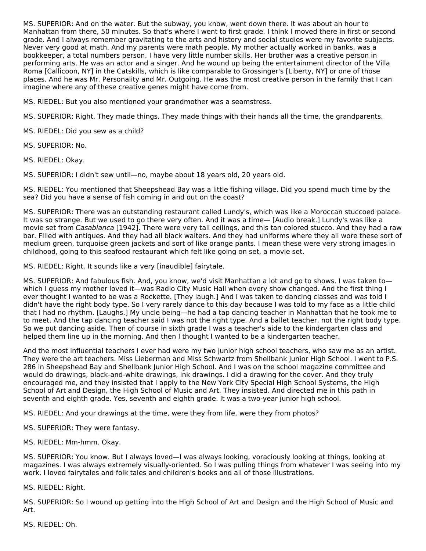MS. SUPERIOR: And on the water. But the subway, you know, went down there. It was about an hour to Manhattan from there, 50 minutes. So that's where I went to first grade. I think I moved there in first or second grade. And I always remember gravitating to the arts and history and social studies were my favorite subjects. Never very good at math. And my parents were math people. My mother actually worked in banks, was a bookkeeper, a total numbers person. I have very little number skills. Her brother was a creative person in performing arts. He was an actor and a singer. And he wound up being the entertainment director of the Villa Roma [Callicoon, NY] in the Catskills, which is like comparable to Grossinger's [Liberty, NY] or one of those places. And he was Mr. Personality and Mr. Outgoing. He was the most creative person in the family that I can imagine where any of these creative genes might have come from.

MS. RIEDEL: But you also mentioned your grandmother was a seamstress.

MS. SUPERIOR: Right. They made things. They made things with their hands all the time, the grandparents.

MS. RIEDEL: Did you sew as a child?

MS. SUPERIOR: No.

MS. RIEDEL: Okay.

MS. SUPERIOR: I didn't sew until—no, maybe about 18 years old, 20 years old.

MS. RIEDEL: You mentioned that Sheepshead Bay was a little fishing village. Did you spend much time by the sea? Did you have a sense of fish coming in and out on the coast?

MS. SUPERIOR: There was an outstanding restaurant called Lundy's, which was like a Moroccan stuccoed palace. It was so strange. But we used to go there very often. And it was a time— [Audio break.] Lundy's was like a movie set from Casablanca [1942]. There were very tall ceilings, and this tan colored stucco. And they had a raw bar. Filled with antiques. And they had all black waiters. And they had uniforms where they all wore these sort of medium green, turquoise green jackets and sort of like orange pants. I mean these were very strong images in childhood, going to this seafood restaurant which felt like going on set, a movie set.

MS. RIEDEL: Right. It sounds like a very [inaudible] fairytale.

MS. SUPERIOR: And fabulous fish. And, you know, we'd visit Manhattan a lot and go to shows. I was taken to which I guess my mother loved it—was Radio City Music Hall when every show changed. And the first thing I ever thought I wanted to be was a Rockette. [They laugh.] And I was taken to dancing classes and was told I didn't have the right body type. So I very rarely dance to this day because I was told to my face as a little child that I had no rhythm. [Laughs.] My uncle being—he had a tap dancing teacher in Manhattan that he took me to to meet. And the tap dancing teacher said I was not the right type. And a ballet teacher, not the right body type. So we put dancing aside. Then of course in sixth grade I was a teacher's aide to the kindergarten class and helped them line up in the morning. And then I thought I wanted to be a kindergarten teacher.

And the most influential teachers I ever had were my two junior high school teachers, who saw me as an artist. They were the art teachers. Miss Lieberman and Miss Schwartz from Shellbank Junior High School. I went to P.S. 286 in Sheepshead Bay and Shellbank Junior High School. And I was on the school magazine committee and would do drawings, black-and-white drawings, ink drawings. I did a drawing for the cover. And they truly encouraged me, and they insisted that I apply to the New York City Special High School Systems, the High School of Art and Design, the High School of Music and Art. They insisted. And directed me in this path in seventh and eighth grade. Yes, seventh and eighth grade. It was a two-year junior high school.

MS. RIEDEL: And your drawings at the time, were they from life, were they from photos?

MS. SUPERIOR: They were fantasy.

MS. RIEDEL: Mm-hmm. Okay.

MS. SUPERIOR: You know. But I always loved—I was always looking, voraciously looking at things, looking at magazines. I was always extremely visually-oriented. So I was pulling things from whatever I was seeing into my work. I loved fairytales and folk tales and children's books and all of those illustrations.

MS. RIEDEL: Right.

MS. SUPERIOR: So I wound up getting into the High School of Art and Design and the High School of Music and Art.

MS. RIEDEL: Oh.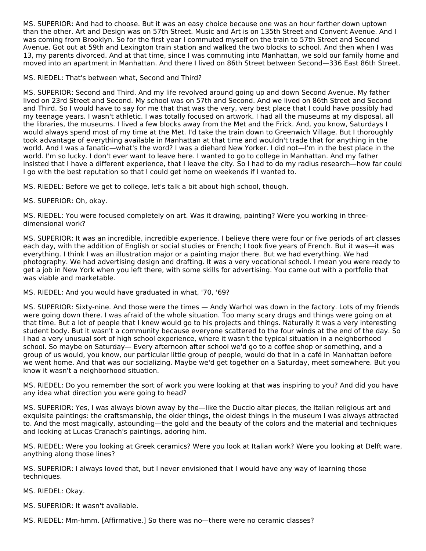MS. SUPERIOR: And had to choose. But it was an easy choice because one was an hour farther down uptown than the other. Art and Design was on 57th Street. Music and Art is on 135th Street and Convent Avenue. And I was coming from Brooklyn. So for the first year I commuted myself on the train to 57th Street and Second Avenue. Got out at 59th and Lexington train station and walked the two blocks to school. And then when I was 13, my parents divorced. And at that time, since I was commuting into Manhattan, we sold our family home and moved into an apartment in Manhattan. And there I lived on 86th Street between Second—336 East 86th Street.

MS. RIEDEL: That's between what, Second and Third?

MS. SUPERIOR: Second and Third. And my life revolved around going up and down Second Avenue. My father lived on 23rd Street and Second. My school was on 57th and Second. And we lived on 86th Street and Second and Third. So I would have to say for me that that was the very, very best place that I could have possibly had my teenage years. I wasn't athletic. I was totally focused on artwork. I had all the museums at my disposal, all the libraries, the museums. I lived a few blocks away from the Met and the Frick. And, you know, Saturdays I would always spend most of my time at the Met. I'd take the train down to Greenwich Village. But I thoroughly took advantage of everything available in Manhattan at that time and wouldn't trade that for anything in the world. And I was a fanatic—what's the word? I was a diehard New Yorker. I did not—I'm in the best place in the world. I'm so lucky. I don't ever want to leave here. I wanted to go to college in Manhattan. And my father insisted that I have a different experience, that I leave the city. So I had to do my radius research—how far could I go with the best reputation so that I could get home on weekends if I wanted to.

MS. RIEDEL: Before we get to college, let's talk a bit about high school, though.

MS. SUPERIOR: Oh, okay.

MS. RIEDEL: You were focused completely on art. Was it drawing, painting? Were you working in threedimensional work?

MS. SUPERIOR: It was an incredible, incredible experience. I believe there were four or five periods of art classes each day, with the addition of English or social studies or French; I took five years of French. But it was—it was everything. I think I was an illustration major or a painting major there. But we had everything. We had photography. We had advertising design and drafting. It was a very vocational school. I mean you were ready to get a job in New York when you left there, with some skills for advertising. You came out with a portfolio that was viable and marketable.

MS. RIEDEL: And you would have graduated in what, '70, '69?

MS. SUPERIOR: Sixty-nine. And those were the times — Andy Warhol was down in the factory. Lots of my friends were going down there. I was afraid of the whole situation. Too many scary drugs and things were going on at that time. But a lot of people that I knew would go to his projects and things. Naturally it was a very interesting student body. But it wasn't a community because everyone scattered to the four winds at the end of the day. So I had a very unusual sort of high school experience, where it wasn't the typical situation in a neighborhood school. So maybe on Saturday— Every afternoon after school we'd go to a coffee shop or something, and a group of us would, you know, our particular little group of people, would do that in a café in Manhattan before we went home. And that was our socializing. Maybe we'd get together on a Saturday, meet somewhere. But you know it wasn't a neighborhood situation.

MS. RIEDEL: Do you remember the sort of work you were looking at that was inspiring to you? And did you have any idea what direction you were going to head?

MS. SUPERIOR: Yes, I was always blown away by the—like the Duccio altar pieces, the Italian religious art and exquisite paintings: the craftsmanship, the older things, the oldest things in the museum I was always attracted to. And the most magically, astounding—the gold and the beauty of the colors and the material and techniques and looking at Lucas Cranach's paintings, adoring him.

MS. RIEDEL: Were you looking at Greek ceramics? Were you look at Italian work? Were you looking at Delft ware, anything along those lines?

MS. SUPERIOR: I always loved that, but I never envisioned that I would have any way of learning those techniques.

MS. RIEDEL: Okay.

MS. SUPERIOR: It wasn't available.

MS. RIEDEL: Mm-hmm. [Affirmative.] So there was no—there were no ceramic classes?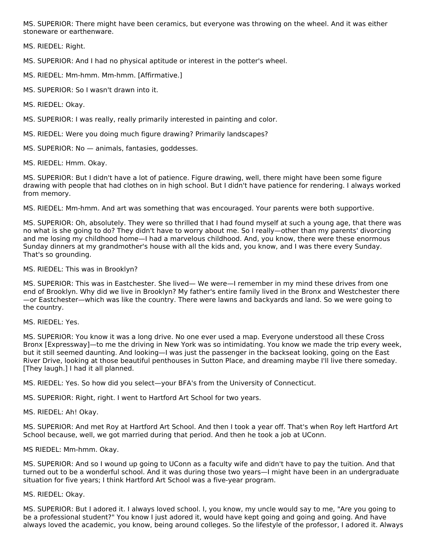MS. SUPERIOR: There might have been ceramics, but everyone was throwing on the wheel. And it was either stoneware or earthenware.

MS. RIEDEL: Right.

MS. SUPERIOR: And I had no physical aptitude or interest in the potter's wheel.

MS. RIEDEL: Mm-hmm. Mm-hmm. [Affirmative.]

MS. SUPERIOR: So I wasn't drawn into it.

MS. RIEDEL: Okay.

MS. SUPERIOR: I was really, really primarily interested in painting and color.

MS. RIEDEL: Were you doing much figure drawing? Primarily landscapes?

MS. SUPERIOR: No — animals, fantasies, goddesses.

MS. RIEDEL: Hmm. Okay.

MS. SUPERIOR: But I didn't have a lot of patience. Figure drawing, well, there might have been some figure drawing with people that had clothes on in high school. But I didn't have patience for rendering. I always worked from memory.

MS. RIEDEL: Mm-hmm. And art was something that was encouraged. Your parents were both supportive.

MS. SUPERIOR: Oh, absolutely. They were so thrilled that I had found myself at such a young age, that there was no what is she going to do? They didn't have to worry about me. So I really—other than my parents' divorcing and me losing my childhood home—I had a marvelous childhood. And, you know, there were these enormous Sunday dinners at my grandmother's house with all the kids and, you know, and I was there every Sunday. That's so grounding.

#### MS. RIEDEL: This was in Brooklyn?

MS. SUPERIOR: This was in Eastchester. She lived— We were—I remember in my mind these drives from one end of Brooklyn. Why did we live in Brooklyn? My father's entire family lived in the Bronx and Westchester there —or Eastchester—which was like the country. There were lawns and backyards and land. So we were going to the country.

MS. RIEDEL: Yes.

MS. SUPERIOR: You know it was a long drive. No one ever used a map. Everyone understood all these Cross Bronx [Expressway]—to me the driving in New York was so intimidating. You know we made the trip every week, but it still seemed daunting. And looking—I was just the passenger in the backseat looking, going on the East River Drive, looking at those beautiful penthouses in Sutton Place, and dreaming maybe I'll live there someday. [They laugh.] I had it all planned.

MS. RIEDEL: Yes. So how did you select—your BFA's from the University of Connecticut.

MS. SUPERIOR: Right, right. I went to Hartford Art School for two years.

MS. RIEDEL: Ah! Okay.

MS. SUPERIOR: And met Roy at Hartford Art School. And then I took a year off. That's when Roy left Hartford Art School because, well, we got married during that period. And then he took a job at UConn.

#### MS RIEDEL: Mm-hmm. Okay.

MS. SUPERIOR: And so I wound up going to UConn as a faculty wife and didn't have to pay the tuition. And that turned out to be a wonderful school. And it was during those two years—I might have been in an undergraduate situation for five years; I think Hartford Art School was a five-year program.

#### MS. RIEDEL: Okay.

MS. SUPERIOR: But I adored it. I always loved school. I, you know, my uncle would say to me, "Are you going to be a professional student?" You know I just adored it, would have kept going and going and going. And have always loved the academic, you know, being around colleges. So the lifestyle of the professor, I adored it. Always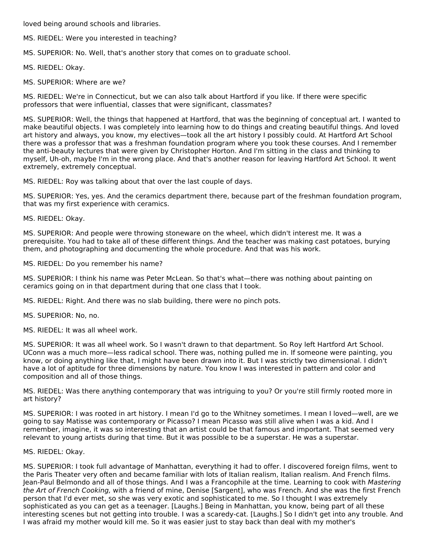loved being around schools and libraries.

MS. RIEDEL: Were you interested in teaching?

MS. SUPERIOR: No. Well, that's another story that comes on to graduate school.

MS. RIEDEL: Okay.

MS. SUPERIOR: Where are we?

MS. RIEDEL: We're in Connecticut, but we can also talk about Hartford if you like. If there were specific professors that were influential, classes that were significant, classmates?

MS. SUPERIOR: Well, the things that happened at Hartford, that was the beginning of conceptual art. I wanted to make beautiful objects. I was completely into learning how to do things and creating beautiful things. And loved art history and always, you know, my electives—took all the art history I possibly could. At Hartford Art School there was a professor that was a freshman foundation program where you took these courses. And I remember the anti-beauty lectures that were given by Christopher Horton. And I'm sitting in the class and thinking to myself, Uh-oh, maybe I'm in the wrong place. And that's another reason for leaving Hartford Art School. It went extremely, extremely conceptual.

MS. RIEDEL: Roy was talking about that over the last couple of days.

MS. SUPERIOR: Yes, yes. And the ceramics department there, because part of the freshman foundation program, that was my first experience with ceramics.

MS. RIEDEL: Okay.

MS. SUPERIOR: And people were throwing stoneware on the wheel, which didn't interest me. It was a prerequisite. You had to take all of these different things. And the teacher was making cast potatoes, burying them, and photographing and documenting the whole procedure. And that was his work.

MS. RIEDEL: Do you remember his name?

MS. SUPERIOR: I think his name was Peter McLean. So that's what—there was nothing about painting on ceramics going on in that department during that one class that I took.

MS. RIEDEL: Right. And there was no slab building, there were no pinch pots.

MS. SUPERIOR: No, no.

MS. RIEDEL: It was all wheel work.

MS. SUPERIOR: It was all wheel work. So I wasn't drawn to that department. So Roy left Hartford Art School. UConn was a much more—less radical school. There was, nothing pulled me in. If someone were painting, you know, or doing anything like that, I might have been drawn into it. But I was strictly two dimensional. I didn't have a lot of aptitude for three dimensions by nature. You know I was interested in pattern and color and composition and all of those things.

MS. RIEDEL: Was there anything contemporary that was intriguing to you? Or you're still firmly rooted more in art history?

MS. SUPERIOR: I was rooted in art history. I mean I'd go to the Whitney sometimes. I mean I loved—well, are we going to say Matisse was contemporary or Picasso? I mean Picasso was still alive when I was a kid. And I remember, imagine, it was so interesting that an artist could be that famous and important. That seemed very relevant to young artists during that time. But it was possible to be a superstar. He was a superstar.

#### MS. RIEDEL: Okay.

MS. SUPERIOR: I took full advantage of Manhattan, everything it had to offer. I discovered foreign films, went to the Paris Theater very often and became familiar with lots of Italian realism, Italian realism. And French films. Jean-Paul Belmondo and all of those things. And I was a Francophile at the time. Learning to cook with Mastering the Art of French Cooking, with a friend of mine, Denise [Sargent], who was French. And she was the first French person that I'd ever met, so she was very exotic and sophisticated to me. So I thought I was extremely sophisticated as you can get as a teenager. [Laughs.] Being in Manhattan, you know, being part of all these interesting scenes but not getting into trouble. I was a scaredy-cat. [Laughs.] So I didn't get into any trouble. And I was afraid my mother would kill me. So it was easier just to stay back than deal with my mother's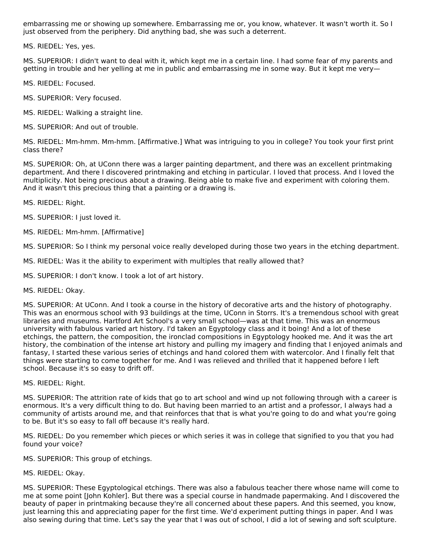embarrassing me or showing up somewhere. Embarrassing me or, you know, whatever. It wasn't worth it. So I just observed from the periphery. Did anything bad, she was such a deterrent.

MS. RIEDEL: Yes, yes.

MS. SUPERIOR: I didn't want to deal with it, which kept me in a certain line. I had some fear of my parents and getting in trouble and her yelling at me in public and embarrassing me in some way. But it kept me very—

MS. RIEDEL: Focused.

MS. SUPERIOR: Very focused.

MS. RIEDEL: Walking a straight line.

MS. SUPERIOR: And out of trouble.

MS. RIEDEL: Mm-hmm. Mm-hmm. [Affirmative.] What was intriguing to you in college? You took your first print class there?

MS. SUPERIOR: Oh, at UConn there was a larger painting department, and there was an excellent printmaking department. And there I discovered printmaking and etching in particular. I loved that process. And I loved the multiplicity. Not being precious about a drawing. Being able to make five and experiment with coloring them. And it wasn't this precious thing that a painting or a drawing is.

MS. RIEDEL: Right.

MS. SUPERIOR: I just loved it.

MS. RIEDEL: Mm-hmm. [Affirmative]

MS. SUPERIOR: So I think my personal voice really developed during those two years in the etching department.

MS. RIEDEL: Was it the ability to experiment with multiples that really allowed that?

MS. SUPERIOR: I don't know. I took a lot of art history.

MS. RIEDEL: Okay.

MS. SUPERIOR: At UConn. And I took a course in the history of decorative arts and the history of photography. This was an enormous school with 93 buildings at the time, UConn in Storrs. It's a tremendous school with great libraries and museums. Hartford Art School's a very small school—was at that time. This was an enormous university with fabulous varied art history. I'd taken an Egyptology class and it boing! And a lot of these etchings, the pattern, the composition, the ironclad compositions in Egyptology hooked me. And it was the art history, the combination of the intense art history and pulling my imagery and finding that I enjoyed animals and fantasy, I started these various series of etchings and hand colored them with watercolor. And I finally felt that things were starting to come together for me. And I was relieved and thrilled that it happened before I left school. Because it's so easy to drift off.

MS. RIEDEL: Right.

MS. SUPERIOR: The attrition rate of kids that go to art school and wind up not following through with a career is enormous. It's a very difficult thing to do. But having been married to an artist and a professor, I always had a community of artists around me, and that reinforces that that is what you're going to do and what you're going to be. But it's so easy to fall off because it's really hard.

MS. RIEDEL: Do you remember which pieces or which series it was in college that signified to you that you had found your voice?

MS. SUPERIOR: This group of etchings.

MS. RIEDEL: Okay.

MS. SUPERIOR: These Egyptological etchings. There was also a fabulous teacher there whose name will come to me at some point [John Kohler]. But there was a special course in handmade papermaking. And I discovered the beauty of paper in printmaking because they're all concerned about these papers. And this seemed, you know, just learning this and appreciating paper for the first time. We'd experiment putting things in paper. And I was also sewing during that time. Let's say the year that I was out of school, I did a lot of sewing and soft sculpture.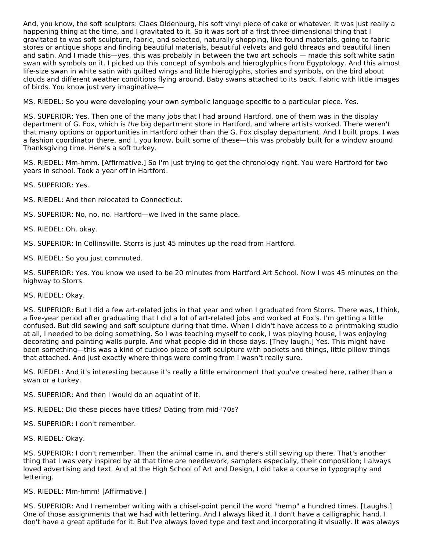And, you know, the soft sculptors: Claes Oldenburg, his soft vinyl piece of cake or whatever. It was just really a happening thing at the time, and I gravitated to it. So it was sort of a first three-dimensional thing that I gravitated to was soft sculpture, fabric, and selected, naturally shopping, like found materials, going to fabric stores or antique shops and finding beautiful materials, beautiful velvets and gold threads and beautiful linen and satin. And I made this—yes, this was probably in between the two art schools — made this soft white satin swan with symbols on it. I picked up this concept of symbols and hieroglyphics from Egyptology. And this almost life-size swan in white satin with quilted wings and little hieroglyphs, stories and symbols, on the bird about clouds and different weather conditions flying around. Baby swans attached to its back. Fabric with little images of birds. You know just very imaginative—

MS. RIEDEL: So you were developing your own symbolic language specific to a particular piece. Yes.

MS. SUPERIOR: Yes. Then one of the many jobs that I had around Hartford, one of them was in the display department of G. Fox, which is the big department store in Hartford, and where artists worked. There weren't that many options or opportunities in Hartford other than the G. Fox display department. And I built props. I was a fashion coordinator there, and I, you know, built some of these—this was probably built for a window around Thanksgiving time. Here's a soft turkey.

MS. RIEDEL: Mm-hmm. [Affirmative.] So I'm just trying to get the chronology right. You were Hartford for two years in school. Took a year off in Hartford.

MS. SUPERIOR: Yes.

MS. RIEDEL: And then relocated to Connecticut.

MS. SUPERIOR: No, no, no. Hartford—we lived in the same place.

MS. RIEDEL: Oh, okay.

MS. SUPERIOR: In Collinsville. Storrs is just 45 minutes up the road from Hartford.

MS. RIEDEL: So you just commuted.

MS. SUPERIOR: Yes. You know we used to be 20 minutes from Hartford Art School. Now I was 45 minutes on the highway to Storrs.

MS. RIEDEL: Okay.

MS. SUPERIOR: But I did a few art-related jobs in that year and when I graduated from Storrs. There was, I think, a five-year period after graduating that I did a lot of art-related jobs and worked at Fox's. I'm getting a little confused. But did sewing and soft sculpture during that time. When I didn't have access to a printmaking studio at all, I needed to be doing something. So I was teaching myself to cook, I was playing house, I was enjoying decorating and painting walls purple. And what people did in those days. [They laugh.] Yes. This might have been something—this was a kind of cuckoo piece of soft sculpture with pockets and things, little pillow things that attached. And just exactly where things were coming from I wasn't really sure.

MS. RIEDEL: And it's interesting because it's really a little environment that you've created here, rather than a swan or a turkey.

- MS. SUPERIOR: And then I would do an aquatint of it.
- MS. RIEDEL: Did these pieces have titles? Dating from mid-'70s?

MS. SUPERIOR: I don't remember.

MS. RIEDEL: Okay.

MS. SUPERIOR: I don't remember. Then the animal came in, and there's still sewing up there. That's another thing that I was very inspired by at that time are needlework, samplers especially, their composition; I always loved advertising and text. And at the High School of Art and Design, I did take a course in typography and lettering.

MS. RIEDEL: Mm-hmm! [Affirmative.]

MS. SUPERIOR: And I remember writing with a chisel-point pencil the word "hemp" a hundred times. [Laughs.] One of those assignments that we had with lettering. And I always liked it. I don't have a calligraphic hand. I don't have a great aptitude for it. But I've always loved type and text and incorporating it visually. It was always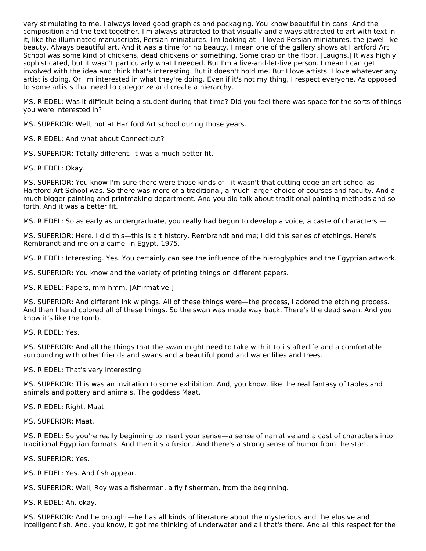very stimulating to me. I always loved good graphics and packaging. You know beautiful tin cans. And the composition and the text together. I'm always attracted to that visually and always attracted to art with text in it, like the illuminated manuscripts, Persian miniatures. I'm looking at—I loved Persian miniatures, the jewel-like beauty. Always beautiful art. And it was a time for no beauty. I mean one of the gallery shows at Hartford Art School was some kind of chickens, dead chickens or something. Some crap on the floor. [Laughs.] It was highly sophisticated, but it wasn't particularly what I needed. But I'm a live-and-let-live person. I mean I can get involved with the idea and think that's interesting. But it doesn't hold me. But I love artists. I love whatever any artist is doing. Or I'm interested in what they're doing. Even if it's not my thing, I respect everyone. As opposed to some artists that need to categorize and create a hierarchy.

MS. RIEDEL: Was it difficult being a student during that time? Did you feel there was space for the sorts of things you were interested in?

MS. SUPERIOR: Well, not at Hartford Art school during those years.

MS. RIEDEL: And what about Connecticut?

MS. SUPERIOR: Totally different. It was a much better fit.

MS. RIEDEL: Okay.

MS. SUPERIOR: You know I'm sure there were those kinds of—it wasn't that cutting edge an art school as Hartford Art School was. So there was more of a traditional, a much larger choice of courses and faculty. And a much bigger painting and printmaking department. And you did talk about traditional painting methods and so forth. And it was a better fit.

MS. RIEDEL: So as early as undergraduate, you really had begun to develop a voice, a caste of characters —

MS. SUPERIOR: Here. I did this—this is art history. Rembrandt and me; I did this series of etchings. Here's Rembrandt and me on a camel in Egypt, 1975.

MS. RIEDEL: Interesting. Yes. You certainly can see the influence of the hieroglyphics and the Egyptian artwork.

MS. SUPERIOR: You know and the variety of printing things on different papers.

MS. RIEDEL: Papers, mm-hmm. [Affirmative.]

MS. SUPERIOR: And different ink wipings. All of these things were—the process, I adored the etching process. And then I hand colored all of these things. So the swan was made way back. There's the dead swan. And you know it's like the tomb.

MS. RIEDEL: Yes.

MS. SUPERIOR: And all the things that the swan might need to take with it to its afterlife and a comfortable surrounding with other friends and swans and a beautiful pond and water lilies and trees.

MS. RIEDEL: That's very interesting.

MS. SUPERIOR: This was an invitation to some exhibition. And, you know, like the real fantasy of tables and animals and pottery and animals. The goddess Maat.

MS. RIEDEL: Right, Maat.

MS. SUPERIOR: Maat.

MS. RIEDEL: So you're really beginning to insert your sense—a sense of narrative and a cast of characters into traditional Egyptian formats. And then it's a fusion. And there's a strong sense of humor from the start.

MS. SUPERIOR: Yes.

MS. RIEDEL: Yes. And fish appear.

MS. SUPERIOR: Well, Roy was a fisherman, a fly fisherman, from the beginning.

MS. RIEDEL: Ah, okay.

MS. SUPERIOR: And he brought—he has all kinds of literature about the mysterious and the elusive and intelligent fish. And, you know, it got me thinking of underwater and all that's there. And all this respect for the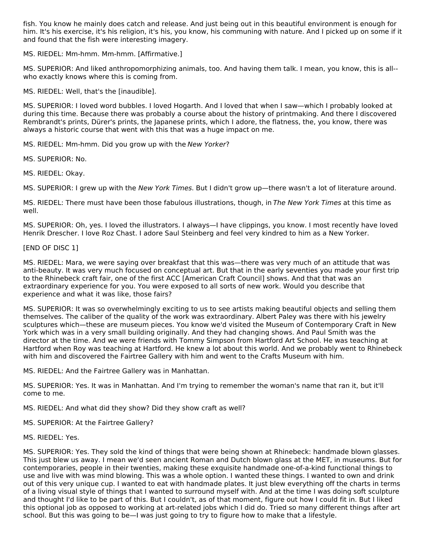fish. You know he mainly does catch and release. And just being out in this beautiful environment is enough for him. It's his exercise, it's his religion, it's his, you know, his communing with nature. And I picked up on some if it and found that the fish were interesting imagery.

MS. RIEDEL: Mm-hmm. Mm-hmm. [Affirmative.]

MS. SUPERIOR: And liked anthropomorphizing animals, too. And having them talk. I mean, you know, this is all- who exactly knows where this is coming from.

MS. RIEDEL: Well, that's the [inaudible].

MS. SUPERIOR: I loved word bubbles. I loved Hogarth. And I loved that when I saw—which I probably looked at during this time. Because there was probably a course about the history of printmaking. And there I discovered Rembrandt's prints, Dürer's prints, the Japanese prints, which I adore, the flatness, the, you know, there was always a historic course that went with this that was a huge impact on me.

MS. RIEDEL: Mm-hmm. Did you grow up with the New Yorker?

MS. SUPERIOR: No.

MS. RIEDEL: Okay.

MS. SUPERIOR: I grew up with the New York Times. But I didn't grow up—there wasn't a lot of literature around.

MS. RIEDEL: There must have been those fabulous illustrations, though, in The New York Times at this time as well.

MS. SUPERIOR: Oh, yes. I loved the illustrators. I always—I have clippings, you know. I most recently have loved Henrik Drescher. I love Roz Chast. I adore Saul Steinberg and feel very kindred to him as a New Yorker.

# [END OF DISC 1]

MS. RIEDEL: Mara, we were saying over breakfast that this was—there was very much of an attitude that was anti-beauty. It was very much focused on conceptual art. But that in the early seventies you made your first trip to the Rhinebeck craft fair, one of the first ACC [American Craft Council] shows. And that that was an extraordinary experience for you. You were exposed to all sorts of new work. Would you describe that experience and what it was like, those fairs?

MS. SUPERIOR: It was so overwhelmingly exciting to us to see artists making beautiful objects and selling them themselves. The caliber of the quality of the work was extraordinary. Albert Paley was there with his jewelry sculptures which—these are museum pieces. You know we'd visited the Museum of Contemporary Craft in New York which was in a very small building originally. And they had changing shows. And Paul Smith was the director at the time. And we were friends with Tommy Simpson from Hartford Art School. He was teaching at Hartford when Roy was teaching at Hartford. He knew a lot about this world. And we probably went to Rhinebeck with him and discovered the Fairtree Gallery with him and went to the Crafts Museum with him.

MS. RIEDEL: And the Fairtree Gallery was in Manhattan.

MS. SUPERIOR: Yes. It was in Manhattan. And I'm trying to remember the woman's name that ran it, but it'll come to me.

MS. RIEDEL: And what did they show? Did they show craft as well?

MS. SUPERIOR: At the Fairtree Gallery?

MS. RIEDEL: Yes.

MS. SUPERIOR: Yes. They sold the kind of things that were being shown at Rhinebeck: handmade blown glasses. This just blew us away. I mean we'd seen ancient Roman and Dutch blown glass at the MET, in museums. But for contemporaries, people in their twenties, making these exquisite handmade one-of-a-kind functional things to use and live with was mind blowing. This was a whole option. I wanted these things. I wanted to own and drink out of this very unique cup. I wanted to eat with handmade plates. It just blew everything off the charts in terms of a living visual style of things that I wanted to surround myself with. And at the time I was doing soft sculpture and thought I'd like to be part of this. But I couldn't, as of that moment, figure out how I could fit in. But I liked this optional job as opposed to working at art-related jobs which I did do. Tried so many different things after art school. But this was going to be—I was just going to try to figure how to make that a lifestyle.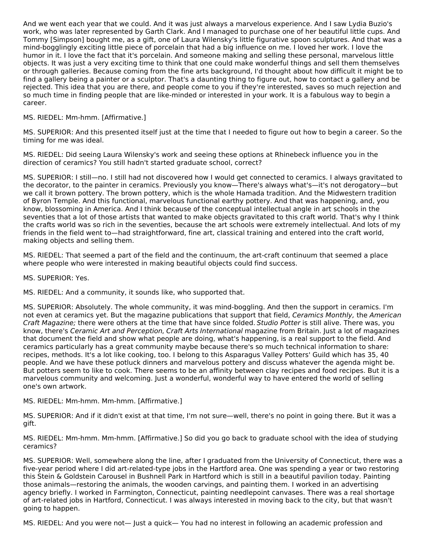And we went each year that we could. And it was just always a marvelous experience. And I saw Lydia Buzio's work, who was later represented by Garth Clark. And I managed to purchase one of her beautiful little cups. And Tommy [Simpson] bought me, as a gift, one of Laura Wilensky's little figurative spoon sculptures. And that was a mind-bogglingly exciting little piece of porcelain that had a big influence on me. I loved her work. I love the humor in it. I love the fact that it's porcelain. And someone making and selling these personal, marvelous little objects. It was just a very exciting time to think that one could make wonderful things and sell them themselves or through galleries. Because coming from the fine arts background, I'd thought about how difficult it might be to find a gallery being a painter or a sculptor. That's a daunting thing to figure out, how to contact a gallery and be rejected. This idea that you are there, and people come to you if they're interested, saves so much rejection and so much time in finding people that are like-minded or interested in your work. It is a fabulous way to begin a career.

# MS. RIEDEL: Mm-hmm. [Affirmative.]

MS. SUPERIOR: And this presented itself just at the time that I needed to figure out how to begin a career. So the timing for me was ideal.

MS. RIEDEL: Did seeing Laura Wilensky's work and seeing these options at Rhinebeck influence you in the direction of ceramics? You still hadn't started graduate school, correct?

MS. SUPERIOR: I still—no. I still had not discovered how I would get connected to ceramics. I always gravitated to the decorator, to the painter in ceramics. Previously you know—There's always what's—it's not derogatory—but we call it brown pottery. The brown pottery, which is the whole Hamada tradition. And the Midwestern tradition of Byron Temple. And this functional, marvelous functional earthy pottery. And that was happening, and, you know, blossoming in America. And I think because of the conceptual intellectual angle in art schools in the seventies that a lot of those artists that wanted to make objects gravitated to this craft world. That's why I think the crafts world was so rich in the seventies, because the art schools were extremely intellectual. And lots of my friends in the field went to—had straightforward, fine art, classical training and entered into the craft world, making objects and selling them.

MS. RIEDEL: That seemed a part of the field and the continuum, the art-craft continuum that seemed a place where people who were interested in making beautiful objects could find success.

MS. SUPERIOR: Yes.

MS. RIEDEL: And a community, it sounds like, who supported that.

MS. SUPERIOR: Absolutely. The whole community, it was mind-boggling. And then the support in ceramics. I'm not even at ceramics yet. But the magazine publications that support that field, Ceramics Monthly, the American Craft Magazine; there were others at the time that have since folded. Studio Potter is still alive. There was, you know, there's Ceramic Art and Perception, Craft Arts International magazine from Britain. Just a lot of magazines that document the field and show what people are doing, what's happening, is a real support to the field. And ceramics particularly has a great community maybe because there's so much technical information to share: recipes, methods. It's a lot like cooking, too. I belong to this Asparagus Valley Potters' Guild which has 35, 40 people. And we have these potluck dinners and marvelous pottery and discuss whatever the agenda might be. But potters seem to like to cook. There seems to be an affinity between clay recipes and food recipes. But it is a marvelous community and welcoming. Just a wonderful, wonderful way to have entered the world of selling one's own artwork.

MS. RIEDEL: Mm-hmm. Mm-hmm. [Affirmative.]

MS. SUPERIOR: And if it didn't exist at that time, I'm not sure—well, there's no point in going there. But it was a gift.

MS. RIEDEL: Mm-hmm. Mm-hmm. [Affirmative.] So did you go back to graduate school with the idea of studying ceramics?

MS. SUPERIOR: Well, somewhere along the line, after I graduated from the University of Connecticut, there was a five-year period where I did art-related-type jobs in the Hartford area. One was spending a year or two restoring this Stein & Goldstein Carousel in Bushnell Park in Hartford which is still in a beautiful pavilion today. Painting those animals—restoring the animals, the wooden carvings, and painting them. I worked in an advertising agency briefly. I worked in Farmington, Connecticut, painting needlepoint canvases. There was a real shortage of art-related jobs in Hartford, Connecticut. I was always interested in moving back to the city, but that wasn't going to happen.

MS. RIEDEL: And you were not— Just a quick— You had no interest in following an academic profession and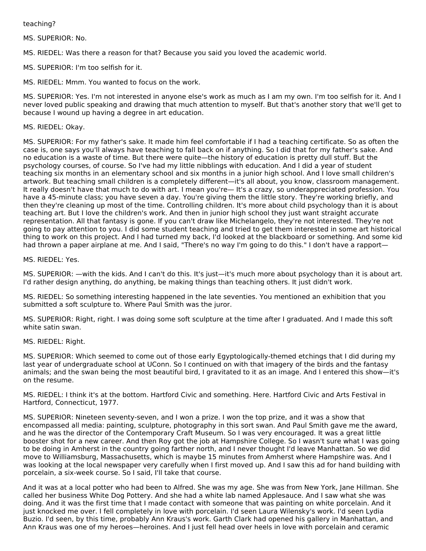teaching?

MS. SUPERIOR: No.

MS. RIEDEL: Was there a reason for that? Because you said you loved the academic world.

MS. SUPERIOR: I'm too selfish for it.

MS. RIEDEL: Mmm. You wanted to focus on the work.

MS. SUPERIOR: Yes. I'm not interested in anyone else's work as much as I am my own. I'm too selfish for it. And I never loved public speaking and drawing that much attention to myself. But that's another story that we'll get to because I wound up having a degree in art education.

## MS. RIEDEL: Okay.

MS. SUPERIOR: For my father's sake. It made him feel comfortable if I had a teaching certificate. So as often the case is, one says you'll always have teaching to fall back on if anything. So I did that for my father's sake. And no education is a waste of time. But there were quite—the history of education is pretty dull stuff. But the psychology courses, of course. So I've had my little nibblings with education. And I did a year of student teaching six months in an elementary school and six months in a junior high school. And I love small children's artwork. But teaching small children is a completely different—it's all about, you know, classroom management. It really doesn't have that much to do with art. I mean you're— It's a crazy, so underappreciated profession. You have a 45-minute class; you have seven a day. You're giving them the little story. They're working briefly, and then they're cleaning up most of the time. Controlling children. It's more about child psychology than it is about teaching art. But I love the children's work. And then in junior high school they just want straight accurate representation. All that fantasy is gone. If you can't draw like Michelangelo, they're not interested. They're not going to pay attention to you. I did some student teaching and tried to get them interested in some art historical thing to work on this project. And I had turned my back, I'd looked at the blackboard or something. And some kid had thrown a paper airplane at me. And I said, "There's no way I'm going to do this." I don't have a rapport—

MS. RIEDEL: Yes.

MS. SUPERIOR: —with the kids. And I can't do this. It's just—it's much more about psychology than it is about art. I'd rather design anything, do anything, be making things than teaching others. It just didn't work.

MS. RIEDEL: So something interesting happened in the late seventies. You mentioned an exhibition that you submitted a soft sculpture to. Where Paul Smith was the juror.

MS. SUPERIOR: Right, right. I was doing some soft sculpture at the time after I graduated. And I made this soft white satin swan.

#### MS. RIEDEL: Right.

MS. SUPERIOR: Which seemed to come out of those early Egyptologically-themed etchings that I did during my last year of undergraduate school at UConn. So I continued on with that imagery of the birds and the fantasy animals; and the swan being the most beautiful bird, I gravitated to it as an image. And I entered this show—it's on the resume.

MS. RIEDEL: I think it's at the bottom. Hartford Civic and something. Here. Hartford Civic and Arts Festival in Hartford, Connecticut, 1977.

MS. SUPERIOR: Nineteen seventy-seven, and I won a prize. I won the top prize, and it was a show that encompassed all media: painting, sculpture, photography in this sort swan. And Paul Smith gave me the award, and he was the director of the Contemporary Craft Museum. So I was very encouraged. It was a great little booster shot for a new career. And then Roy got the job at Hampshire College. So I wasn't sure what I was going to be doing in Amherst in the country going farther north, and I never thought I'd leave Manhattan. So we did move to Williamsburg, Massachusetts, which is maybe 15 minutes from Amherst where Hampshire was. And I was looking at the local newspaper very carefully when I first moved up. And I saw this ad for hand building with porcelain, a six-week course. So I said, I'll take that course.

And it was at a local potter who had been to Alfred. She was my age. She was from New York, Jane Hillman. She called her business White Dog Pottery. And she had a white lab named Applesauce. And I saw what she was doing. And it was the first time that I made contact with someone that was painting on white porcelain. And it just knocked me over. I fell completely in love with porcelain. I'd seen Laura Wilensky's work. I'd seen Lydia Buzio. I'd seen, by this time, probably Ann Kraus's work. Garth Clark had opened his gallery in Manhattan, and Ann Kraus was one of my heroes—heroines. And I just fell head over heels in love with porcelain and ceramic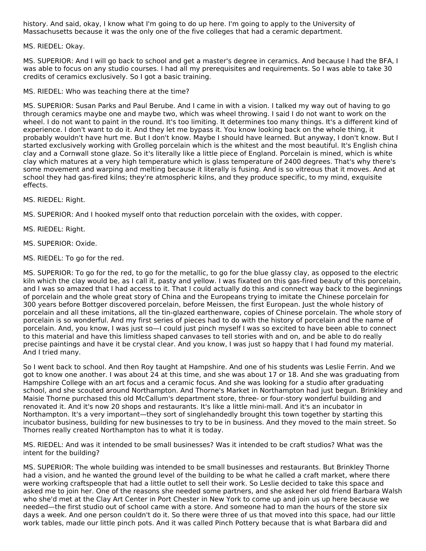history. And said, okay, I know what I'm going to do up here. I'm going to apply to the University of Massachusetts because it was the only one of the five colleges that had a ceramic department.

MS. RIEDEL: Okay.

MS. SUPERIOR: And I will go back to school and get a master's degree in ceramics. And because I had the BFA, I was able to focus on any studio courses. I had all my prerequisites and requirements. So I was able to take 30 credits of ceramics exclusively. So I got a basic training.

MS. RIEDEL: Who was teaching there at the time?

MS. SUPERIOR: Susan Parks and Paul Berube. And I came in with a vision. I talked my way out of having to go through ceramics maybe one and maybe two, which was wheel throwing. I said I do not want to work on the wheel. I do not want to paint in the round. It's too limiting. It determines too many things. It's a different kind of experience. I don't want to do it. And they let me bypass it. You know looking back on the whole thing, it probably wouldn't have hurt me. But I don't know. Maybe I should have learned. But anyway, I don't know. But I started exclusively working with Grolleg porcelain which is the whitest and the most beautiful. It's English china clay and a Cornwall stone glaze. So it's literally like a little piece of England. Porcelain is mined, which is white clay which matures at a very high temperature which is glass temperature of 2400 degrees. That's why there's some movement and warping and melting because it literally is fusing. And is so vitreous that it moves. And at school they had gas-fired kilns; they're atmospheric kilns, and they produce specific, to my mind, exquisite effects.

MS. RIEDEL: Right.

MS. SUPERIOR: And I hooked myself onto that reduction porcelain with the oxides, with copper.

MS. RIEDEL: Right.

MS. SUPERIOR: Oxide.

MS. RIEDEL: To go for the red.

MS. SUPERIOR: To go for the red, to go for the metallic, to go for the blue glassy clay, as opposed to the electric kiln which the clay would be, as I call it, pasty and yellow. I was fixated on this gas-fired beauty of this porcelain, and I was so amazed that I had access to it. That I could actually do this and connect way back to the beginnings of porcelain and the whole great story of China and the Europeans trying to imitate the Chinese porcelain for 300 years before Bottger discovered porcelain, before Meissen, the first European. Just the whole history of porcelain and all these imitations, all the tin-glazed earthenware, copies of Chinese porcelain. The whole story of porcelain is so wonderful. And my first series of pieces had to do with the history of porcelain and the name of porcelain. And, you know, I was just so—I could just pinch myself I was so excited to have been able to connect to this material and have this limitless shaped canvases to tell stories with and on, and be able to do really precise paintings and have it be crystal clear. And you know, I was just so happy that I had found my material. And I tried many.

So I went back to school. And then Roy taught at Hampshire. And one of his students was Leslie Ferrin. And we got to know one another. I was about 24 at this time, and she was about 17 or 18. And she was graduating from Hampshire College with an art focus and a ceramic focus. And she was looking for a studio after graduating school, and she scouted around Northampton. And Thorne's Market in Northampton had just begun. Brinkley and Maisie Thorne purchased this old McCallum's department store, three- or four-story wonderful building and renovated it. And it's now 20 shops and restaurants. It's like a little mini-mall. And it's an incubator in Northampton. It's a very important—they sort of singlehandedly brought this town together by starting this incubator business, building for new businesses to try to be in business. And they moved to the main street. So Thornes really created Northampton has to what it is today.

MS. RIEDEL: And was it intended to be small businesses? Was it intended to be craft studios? What was the intent for the building?

MS. SUPERIOR: The whole building was intended to be small businesses and restaurants. But Brinkley Thorne had a vision, and he wanted the ground level of the building to be what he called a craft market, where there were working craftspeople that had a little outlet to sell their work. So Leslie decided to take this space and asked me to join her. One of the reasons she needed some partners, and she asked her old friend Barbara Walsh who she'd met at the Clay Art Center in Port Chester in New York to come up and join us up here because we needed—the first studio out of school came with a store. And someone had to man the hours of the store six days a week. And one person couldn't do it. So there were three of us that moved into this space, had our little work tables, made our little pinch pots. And it was called Pinch Pottery because that is what Barbara did and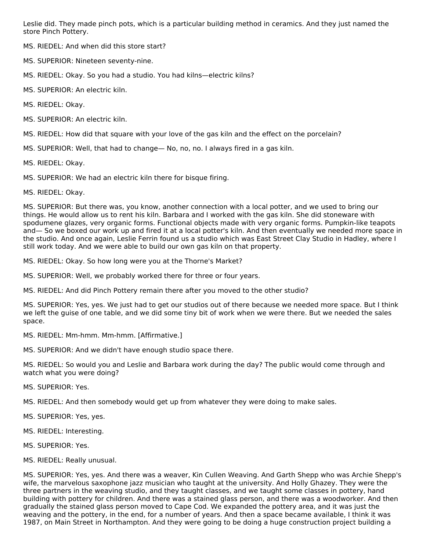Leslie did. They made pinch pots, which is a particular building method in ceramics. And they just named the store Pinch Pottery.

MS. RIEDEL: And when did this store start?

MS. SUPERIOR: Nineteen seventy-nine.

MS. RIEDEL: Okay. So you had a studio. You had kilns—electric kilns?

MS. SUPERIOR: An electric kiln.

MS. RIEDEL: Okay.

MS. SUPERIOR: An electric kiln.

MS. RIEDEL: How did that square with your love of the gas kiln and the effect on the porcelain?

MS. SUPERIOR: Well, that had to change— No, no, no. I always fired in a gas kiln.

MS. RIEDEL: Okay.

MS. SUPERIOR: We had an electric kiln there for bisque firing.

MS. RIEDEL: Okay.

MS. SUPERIOR: But there was, you know, another connection with a local potter, and we used to bring our things. He would allow us to rent his kiln. Barbara and I worked with the gas kiln. She did stoneware with spodumene glazes, very organic forms. Functional objects made with very organic forms. Pumpkin-like teapots and— So we boxed our work up and fired it at a local potter's kiln. And then eventually we needed more space in the studio. And once again, Leslie Ferrin found us a studio which was East Street Clay Studio in Hadley, where I still work today. And we were able to build our own gas kiln on that property.

MS. RIEDEL: Okay. So how long were you at the Thorne's Market?

MS. SUPERIOR: Well, we probably worked there for three or four years.

MS. RIEDEL: And did Pinch Pottery remain there after you moved to the other studio?

MS. SUPERIOR: Yes, yes. We just had to get our studios out of there because we needed more space. But I think we left the guise of one table, and we did some tiny bit of work when we were there. But we needed the sales space.

MS. RIEDEL: Mm-hmm. Mm-hmm. [Affirmative.]

MS. SUPERIOR: And we didn't have enough studio space there.

MS. RIEDEL: So would you and Leslie and Barbara work during the day? The public would come through and watch what you were doing?

MS. SUPERIOR: Yes.

MS. RIEDEL: And then somebody would get up from whatever they were doing to make sales.

MS. SUPERIOR: Yes, yes.

MS. RIEDEL: Interesting.

MS. SUPERIOR: Yes.

MS. RIEDEL: Really unusual.

MS. SUPERIOR: Yes, yes. And there was a weaver, Kin Cullen Weaving. And Garth Shepp who was Archie Shepp's wife, the marvelous saxophone jazz musician who taught at the university. And Holly Ghazey. They were the three partners in the weaving studio, and they taught classes, and we taught some classes in pottery, hand building with pottery for children. And there was a stained glass person, and there was a woodworker. And then gradually the stained glass person moved to Cape Cod. We expanded the pottery area, and it was just the weaving and the pottery, in the end, for a number of years. And then a space became available, I think it was 1987, on Main Street in Northampton. And they were going to be doing a huge construction project building a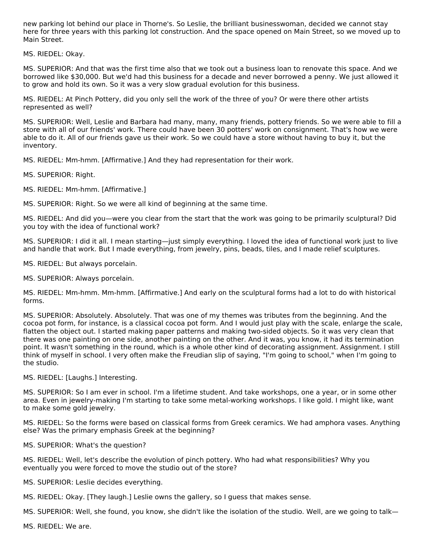new parking lot behind our place in Thorne's. So Leslie, the brilliant businesswoman, decided we cannot stay here for three years with this parking lot construction. And the space opened on Main Street, so we moved up to Main Street.

MS. RIEDEL: Okay.

MS. SUPERIOR: And that was the first time also that we took out a business loan to renovate this space. And we borrowed like \$30,000. But we'd had this business for a decade and never borrowed a penny. We just allowed it to grow and hold its own. So it was a very slow gradual evolution for this business.

MS. RIEDEL: At Pinch Pottery, did you only sell the work of the three of you? Or were there other artists represented as well?

MS. SUPERIOR: Well, Leslie and Barbara had many, many, many friends, pottery friends. So we were able to fill a store with all of our friends' work. There could have been 30 potters' work on consignment. That's how we were able to do it. All of our friends gave us their work. So we could have a store without having to buy it, but the inventory.

MS. RIEDEL: Mm-hmm. [Affirmative.] And they had representation for their work.

MS. SUPERIOR: Right.

MS. RIEDEL: Mm-hmm. [Affirmative.]

MS. SUPERIOR: Right. So we were all kind of beginning at the same time.

MS. RIEDEL: And did you—were you clear from the start that the work was going to be primarily sculptural? Did you toy with the idea of functional work?

MS. SUPERIOR: I did it all. I mean starting—just simply everything. I loved the idea of functional work just to live and handle that work. But I made everything, from jewelry, pins, beads, tiles, and I made relief sculptures.

MS. RIEDEL: But always porcelain.

MS. SUPERIOR: Always porcelain.

MS. RIEDEL: Mm-hmm. Mm-hmm. [Affirmative.] And early on the sculptural forms had a lot to do with historical forms.

MS. SUPERIOR: Absolutely. Absolutely. That was one of my themes was tributes from the beginning. And the cocoa pot form, for instance, is a classical cocoa pot form. And I would just play with the scale, enlarge the scale, flatten the object out. I started making paper patterns and making two-sided objects. So it was very clean that there was one painting on one side, another painting on the other. And it was, you know, it had its termination point. It wasn't something in the round, which is a whole other kind of decorating assignment. Assignment. I still think of myself in school. I very often make the Freudian slip of saying, "I'm going to school," when I'm going to the studio.

MS. RIEDEL: [Laughs.] Interesting.

MS. SUPERIOR: So I am ever in school. I'm a lifetime student. And take workshops, one a year, or in some other area. Even in jewelry-making I'm starting to take some metal-working workshops. I like gold. I might like, want to make some gold jewelry.

MS. RIEDEL: So the forms were based on classical forms from Greek ceramics. We had amphora vases. Anything else? Was the primary emphasis Greek at the beginning?

MS. SUPERIOR: What's the question?

MS. RIEDEL: Well, let's describe the evolution of pinch pottery. Who had what responsibilities? Why you eventually you were forced to move the studio out of the store?

MS. SUPERIOR: Leslie decides everything.

MS. RIEDEL: Okay. [They laugh.] Leslie owns the gallery, so I guess that makes sense.

MS. SUPERIOR: Well, she found, you know, she didn't like the isolation of the studio. Well, are we going to talk—

MS. RIEDEL: We are.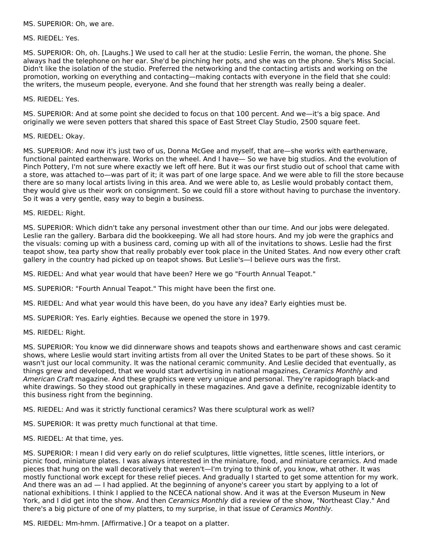#### MS. SUPERIOR: Oh, we are.

#### MS. RIEDEL: Yes.

MS. SUPERIOR: Oh, oh. [Laughs.] We used to call her at the studio: Leslie Ferrin, the woman, the phone. She always had the telephone on her ear. She'd be pinching her pots, and she was on the phone. She's Miss Social. Didn't like the isolation of the studio. Preferred the networking and the contacting artists and working on the promotion, working on everything and contacting—making contacts with everyone in the field that she could: the writers, the museum people, everyone. And she found that her strength was really being a dealer.

#### MS. RIEDEL: Yes.

MS. SUPERIOR: And at some point she decided to focus on that 100 percent. And we—it's a big space. And originally we were seven potters that shared this space of East Street Clay Studio, 2500 square feet.

#### MS. RIEDEL: Okay.

MS. SUPERIOR: And now it's just two of us, Donna McGee and myself, that are—she works with earthenware, functional painted earthenware. Works on the wheel. And I have— So we have big studios. And the evolution of Pinch Pottery, I'm not sure where exactly we left off here. But it was our first studio out of school that came with a store, was attached to—was part of it; it was part of one large space. And we were able to fill the store because there are so many local artists living in this area. And we were able to, as Leslie would probably contact them, they would give us their work on consignment. So we could fill a store without having to purchase the inventory. So it was a very gentle, easy way to begin a business.

MS. RIEDEL: Right.

MS. SUPERIOR: Which didn't take any personal investment other than our time. And our jobs were delegated. Leslie ran the gallery. Barbara did the bookkeeping. We all had store hours. And my job were the graphics and the visuals: coming up with a business card, coming up with all of the invitations to shows. Leslie had the first teapot show, tea party show that really probably ever took place in the United States. And now every other craft gallery in the country had picked up on teapot shows. But Leslie's—I believe ours was the first.

MS. RIEDEL: And what year would that have been? Here we go "Fourth Annual Teapot."

MS. SUPERIOR: "Fourth Annual Teapot." This might have been the first one.

MS. RIEDEL: And what year would this have been, do you have any idea? Early eighties must be.

MS. SUPERIOR: Yes. Early eighties. Because we opened the store in 1979.

#### MS. RIEDEL: Right.

MS. SUPERIOR: You know we did dinnerware shows and teapots shows and earthenware shows and cast ceramic shows, where Leslie would start inviting artists from all over the United States to be part of these shows. So it wasn't just our local community. It was the national ceramic community. And Leslie decided that eventually, as things grew and developed, that we would start advertising in national magazines, Ceramics Monthly and American Craft magazine. And these graphics were very unique and personal. They're rapidograph black-and white drawings. So they stood out graphically in these magazines. And gave a definite, recognizable identity to this business right from the beginning.

MS. RIEDEL: And was it strictly functional ceramics? Was there sculptural work as well?

MS. SUPERIOR: It was pretty much functional at that time.

MS. RIEDEL: At that time, yes.

MS. SUPERIOR: I mean I did very early on do relief sculptures, little vignettes, little scenes, little interiors, or picnic food, miniature plates. I was always interested in the miniature, food, and miniature ceramics. And made pieces that hung on the wall decoratively that weren't—I'm trying to think of, you know, what other. It was mostly functional work except for these relief pieces. And gradually I started to get some attention for my work. And there was an ad — I had applied. At the beginning of anyone's career you start by applying to a lot of national exhibitions. I think I applied to the NCECA national show. And it was at the Everson Museum in New York, and I did get into the show. And then Ceramics Monthly did a review of the show, "Northeast Clay." And there's a big picture of one of my platters, to my surprise, in that issue of Ceramics Monthly.

MS. RIEDEL: Mm-hmm. [Affirmative.] Or a teapot on a platter.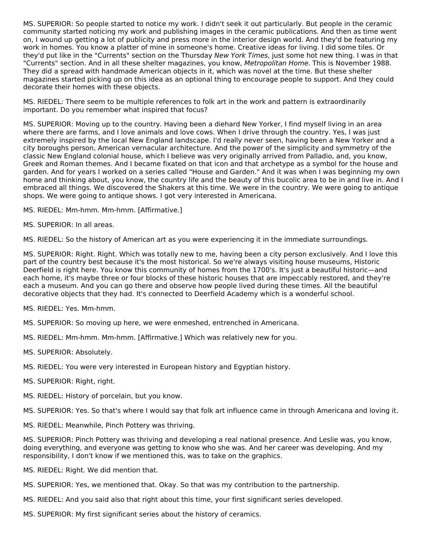MS. SUPERIOR: So people started to notice my work. I didn't seek it out particularly. But people in the ceramic community started noticing my work and publishing images in the ceramic publications. And then as time went on, I wound up getting a lot of publicity and press more in the interior design world. And they'd be featuring my work in homes. You know a platter of mine in someone's home. Creative ideas for living. I did some tiles. Or they'd put like in the "Currents" section on the Thursday New York Times, just some hot new thing. I was in that "Currents" section. And in all these shelter magazines, you know, Metropolitan Home. This is November 1988. They did a spread with handmade American objects in it, which was novel at the time. But these shelter magazines started picking up on this idea as an optional thing to encourage people to support. And they could decorate their homes with these objects.

MS. RIEDEL: There seem to be multiple references to folk art in the work and pattern is extraordinarily important. Do you remember what inspired that focus?

MS. SUPERIOR: Moving up to the country. Having been a diehard New Yorker, I find myself living in an area where there are farms, and I love animals and love cows. When I drive through the country. Yes, I was just extremely inspired by the local New England landscape. I'd really never seen, having been a New Yorker and a city boroughs person, American vernacular architecture. And the power of the simplicity and symmetry of the classic New England colonial house, which I believe was very originally arrived from Palladio, and, you know, Greek and Roman themes. And I became fixated on that icon and that archetype as a symbol for the house and garden. And for years I worked on a series called "House and Garden." And it was when I was beginning my own home and thinking about, you know, the country life and the beauty of this bucolic area to be in and live in. And I embraced all things. We discovered the Shakers at this time. We were in the country. We were going to antique shops. We were going to antique shows. I got very interested in Americana.

MS. RIEDEL: Mm-hmm. Mm-hmm. [Affirmative.]

MS. SUPERIOR: In all areas.

MS. RIEDEL: So the history of American art as you were experiencing it in the immediate surroundings.

MS. SUPERIOR: Right. Right. Which was totally new to me, having been a city person exclusively. And I love this part of the country best because it's the most historical. So we're always visiting house museums, Historic Deerfield is right here. You know this community of homes from the 1700's. It's just a beautiful historic—and each home, it's maybe three or four blocks of these historic houses that are impeccably restored, and they're each a museum. And you can go there and observe how people lived during these times. All the beautiful decorative objects that they had. It's connected to Deerfield Academy which is a wonderful school.

MS. RIEDEL: Yes. Mm-hmm.

- MS. SUPERIOR: So moving up here, we were enmeshed, entrenched in Americana.
- MS. RIEDEL: Mm-hmm. Mm-hmm. [Affirmative.] Which was relatively new for you.
- MS. SUPERIOR: Absolutely.
- MS. RIEDEL: You were very interested in European history and Egyptian history.
- MS. SUPERIOR: Right, right.
- MS. RIEDEL: History of porcelain, but you know.
- MS. SUPERIOR: Yes. So that's where I would say that folk art influence came in through Americana and loving it.
- MS. RIEDEL: Meanwhile, Pinch Pottery was thriving.

MS. SUPERIOR: Pinch Pottery was thriving and developing a real national presence. And Leslie was, you know, doing everything, and everyone was getting to know who she was. And her career was developing. And my responsibility, I don't know if we mentioned this, was to take on the graphics.

- MS. RIEDEL: Right. We did mention that.
- MS. SUPERIOR: Yes, we mentioned that. Okay. So that was my contribution to the partnership.
- MS. RIEDEL: And you said also that right about this time, your first significant series developed.
- MS. SUPERIOR: My first significant series about the history of ceramics.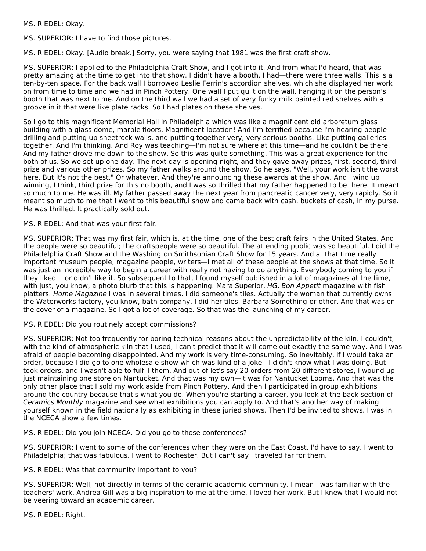MS. RIEDEL: Okay.

MS. SUPERIOR: I have to find those pictures.

MS. RIEDEL: Okay. [Audio break.] Sorry, you were saying that 1981 was the first craft show.

MS. SUPERIOR: I applied to the Philadelphia Craft Show, and I got into it. And from what I'd heard, that was pretty amazing at the time to get into that show. I didn't have a booth. I had—there were three walls. This is a ten-by-ten space. For the back wall I borrowed Leslie Ferrin's accordion shelves, which she displayed her work on from time to time and we had in Pinch Pottery. One wall I put quilt on the wall, hanging it on the person's booth that was next to me. And on the third wall we had a set of very funky milk painted red shelves with a groove in it that were like plate racks. So I had plates on these shelves.

So I go to this magnificent Memorial Hall in Philadelphia which was like a magnificent old arboretum glass building with a glass dome, marble floors. Magnificent location! And I'm terrified because I'm hearing people drilling and putting up sheetrock walls, and putting together very, very serious booths. Like putting galleries together. And I'm thinking. And Roy was teaching—I'm not sure where at this time—and he couldn't be there. And my father drove me down to the show. So this was quite something. This was a great experience for the both of us. So we set up one day. The next day is opening night, and they gave away prizes, first, second, third prize and various other prizes. So my father walks around the show. So he says, "Well, your work isn't the worst here. But it's not the best." Or whatever. And they're announcing these awards at the show. And I wind up winning, I think, third prize for this no booth, and I was so thrilled that my father happened to be there. It meant so much to me. He was ill. My father passed away the next year from pancreatic cancer very, very rapidly. So it meant so much to me that I went to this beautiful show and came back with cash, buckets of cash, in my purse. He was thrilled. It practically sold out.

#### MS. RIEDEL: And that was your first fair.

MS. SUPERIOR: That was my first fair, which is, at the time, one of the best craft fairs in the United States. And the people were so beautiful; the craftspeople were so beautiful. The attending public was so beautiful. I did the Philadelphia Craft Show and the Washington Smithsonian Craft Show for 15 years. And at that time really important museum people, magazine people, writers—I met all of these people at the shows at that time. So it was just an incredible way to begin a career with really not having to do anything. Everybody coming to you if they liked it or didn't like it. So subsequent to that, I found myself published in a lot of magazines at the time, with just, you know, a photo blurb that this is happening. Mara Superior. HG, Bon Appetit magazine with fish platters. Home Magazine I was in several times. I did someone's tiles. Actually the woman that currently owns the Waterworks factory, you know, bath company, I did her tiles. Barbara Something-or-other. And that was on the cover of a magazine. So I got a lot of coverage. So that was the launching of my career.

MS. RIEDEL: Did you routinely accept commissions?

MS. SUPERIOR: Not too frequently for boring technical reasons about the unpredictability of the kiln. I couldn't, with the kind of atmospheric kiln that I used, I can't predict that it will come out exactly the same way. And I was afraid of people becoming disappointed. And my work is very time-consuming. So inevitably, if I would take an order, because I did go to one wholesale show which was kind of a joke—I didn't know what I was doing. But I took orders, and I wasn't able to fulfill them. And out of let's say 20 orders from 20 different stores, I wound up just maintaining one store on Nantucket. And that was my own—it was for Nantucket Looms. And that was the only other place that I sold my work aside from Pinch Pottery. And then I participated in group exhibitions around the country because that's what you do. When you're starting a career, you look at the back section of Ceramics Monthly magazine and see what exhibitions you can apply to. And that's another way of making yourself known in the field nationally as exhibiting in these juried shows. Then I'd be invited to shows. I was in the NCECA show a few times.

MS. RIEDEL: Did you join NCECA. Did you go to those conferences?

MS. SUPERIOR: I went to some of the conferences when they were on the East Coast, I'd have to say. I went to Philadelphia; that was fabulous. I went to Rochester. But I can't say I traveled far for them.

MS. RIEDEL: Was that community important to you?

MS. SUPERIOR: Well, not directly in terms of the ceramic academic community. I mean I was familiar with the teachers' work. Andrea Gill was a big inspiration to me at the time. I loved her work. But I knew that I would not be veering toward an academic career.

MS. RIEDEL: Right.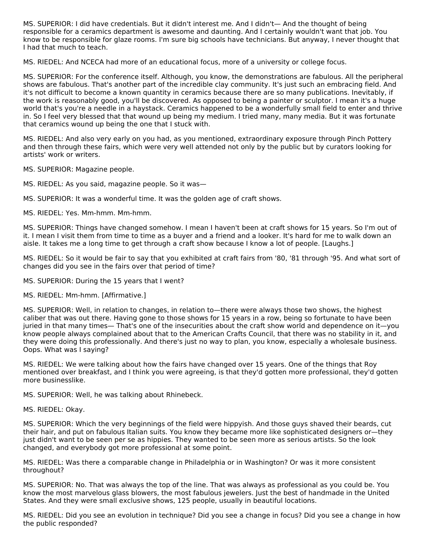MS. SUPERIOR: I did have credentials. But it didn't interest me. And I didn't— And the thought of being responsible for a ceramics department is awesome and daunting. And I certainly wouldn't want that job. You know to be responsible for glaze rooms. I'm sure big schools have technicians. But anyway, I never thought that I had that much to teach.

MS. RIEDEL: And NCECA had more of an educational focus, more of a university or college focus.

MS. SUPERIOR: For the conference itself. Although, you know, the demonstrations are fabulous. All the peripheral shows are fabulous. That's another part of the incredible clay community. It's just such an embracing field. And it's not difficult to become a known quantity in ceramics because there are so many publications. Inevitably, if the work is reasonably good, you'll be discovered. As opposed to being a painter or sculptor. I mean it's a huge world that's you're a needle in a haystack. Ceramics happened to be a wonderfully small field to enter and thrive in. So I feel very blessed that that wound up being my medium. I tried many, many media. But it was fortunate that ceramics wound up being the one that I stuck with.

MS. RIEDEL: And also very early on you had, as you mentioned, extraordinary exposure through Pinch Pottery and then through these fairs, which were very well attended not only by the public but by curators looking for artists' work or writers.

MS. SUPERIOR: Magazine people.

MS. RIEDEL: As you said, magazine people. So it was—

MS. SUPERIOR: It was a wonderful time. It was the golden age of craft shows.

MS. RIEDEL: Yes. Mm-hmm. Mm-hmm.

MS. SUPERIOR: Things have changed somehow. I mean I haven't been at craft shows for 15 years. So I'm out of it. I mean I visit them from time to time as a buyer and a friend and a looker. It's hard for me to walk down an aisle. It takes me a long time to get through a craft show because I know a lot of people. [Laughs.]

MS. RIEDEL: So it would be fair to say that you exhibited at craft fairs from '80, '81 through '95. And what sort of changes did you see in the fairs over that period of time?

MS. SUPERIOR: During the 15 years that I went?

MS. RIEDEL: Mm-hmm. [Affirmative.]

MS. SUPERIOR: Well, in relation to changes, in relation to—there were always those two shows, the highest caliber that was out there. Having gone to those shows for 15 years in a row, being so fortunate to have been juried in that many times— That's one of the insecurities about the craft show world and dependence on it—you know people always complained about that to the American Crafts Council, that there was no stability in it, and they were doing this professionally. And there's just no way to plan, you know, especially a wholesale business. Oops. What was I saying?

MS. RIEDEL: We were talking about how the fairs have changed over 15 years. One of the things that Roy mentioned over breakfast, and I think you were agreeing, is that they'd gotten more professional, they'd gotten more businesslike.

MS. SUPERIOR: Well, he was talking about Rhinebeck.

MS. RIEDEL: Okay.

MS. SUPERIOR: Which the very beginnings of the field were hippyish. And those guys shaved their beards, cut their hair, and put on fabulous Italian suits. You know they became more like sophisticated designers or—they just didn't want to be seen per se as hippies. They wanted to be seen more as serious artists. So the look changed, and everybody got more professional at some point.

MS. RIEDEL: Was there a comparable change in Philadelphia or in Washington? Or was it more consistent throughout?

MS. SUPERIOR: No. That was always the top of the line. That was always as professional as you could be. You know the most marvelous glass blowers, the most fabulous jewelers. Just the best of handmade in the United States. And they were small exclusive shows, 125 people, usually in beautiful locations.

MS. RIEDEL: Did you see an evolution in technique? Did you see a change in focus? Did you see a change in how the public responded?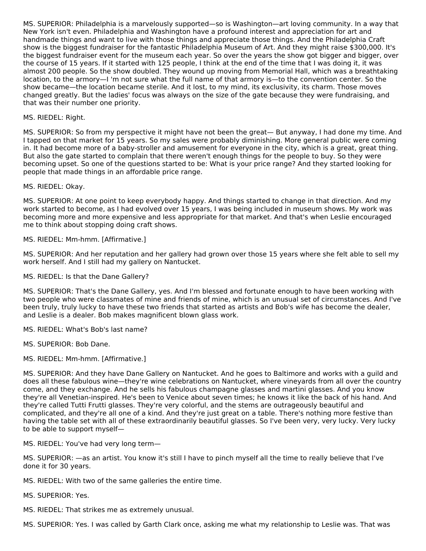MS. SUPERIOR: Philadelphia is a marvelously supported—so is Washington—art loving community. In a way that New York isn't even. Philadelphia and Washington have a profound interest and appreciation for art and handmade things and want to live with those things and appreciate those things. And the Philadelphia Craft show is the biggest fundraiser for the fantastic Philadelphia Museum of Art. And they might raise \$300,000. It's the biggest fundraiser event for the museum each year. So over the years the show got bigger and bigger, over the course of 15 years. If it started with 125 people, I think at the end of the time that I was doing it, it was almost 200 people. So the show doubled. They wound up moving from Memorial Hall, which was a breathtaking location, to the armory—I 'm not sure what the full name of that armory is—to the convention center. So the show became—the location became sterile. And it lost, to my mind, its exclusivity, its charm. Those moves changed greatly. But the ladies' focus was always on the size of the gate because they were fundraising, and that was their number one priority.

#### MS. RIEDEL: Right.

MS. SUPERIOR: So from my perspective it might have not been the great— But anyway, I had done my time. And I tapped on that market for 15 years. So my sales were probably diminishing. More general public were coming in. It had become more of a baby-stroller and amusement for everyone in the city, which is a great, great thing. But also the gate started to complain that there weren't enough things for the people to buy. So they were becoming upset. So one of the questions started to be: What is your price range? And they started looking for people that made things in an affordable price range.

MS. RIEDEL: Okay.

MS. SUPERIOR: At one point to keep everybody happy. And things started to change in that direction. And my work started to become, as I had evolved over 15 years, I was being included in museum shows. My work was becoming more and more expensive and less appropriate for that market. And that's when Leslie encouraged me to think about stopping doing craft shows.

MS. RIEDEL: Mm-hmm. [Affirmative.]

MS. SUPERIOR: And her reputation and her gallery had grown over those 15 years where she felt able to sell my work herself. And I still had my gallery on Nantucket.

MS. RIEDEL: Is that the Dane Gallery?

MS. SUPERIOR: That's the Dane Gallery, yes. And I'm blessed and fortunate enough to have been working with two people who were classmates of mine and friends of mine, which is an unusual set of circumstances. And I've been truly, truly lucky to have these two friends that started as artists and Bob's wife has become the dealer, and Leslie is a dealer. Bob makes magnificent blown glass work.

MS. RIEDEL: What's Bob's last name?

MS. SUPERIOR: Bob Dane.

MS. RIEDEL: Mm-hmm. [Affirmative.]

MS. SUPERIOR: And they have Dane Gallery on Nantucket. And he goes to Baltimore and works with a guild and does all these fabulous wine—they're wine celebrations on Nantucket, where vineyards from all over the country come, and they exchange. And he sells his fabulous champagne glasses and martini glasses. And you know they're all Venetian-inspired. He's been to Venice about seven times; he knows it like the back of his hand. And they're called Tutti Frutti glasses. They're very colorful, and the stems are outrageously beautiful and complicated, and they're all one of a kind. And they're just great on a table. There's nothing more festive than having the table set with all of these extraordinarily beautiful glasses. So I've been very, very lucky. Very lucky to be able to support myself—

MS. RIEDEL: You've had very long term—

MS. SUPERIOR: —as an artist. You know it's still I have to pinch myself all the time to really believe that I've done it for 30 years.

MS. RIEDEL: With two of the same galleries the entire time.

MS. SUPERIOR: Yes.

MS. RIEDEL: That strikes me as extremely unusual.

MS. SUPERIOR: Yes. I was called by Garth Clark once, asking me what my relationship to Leslie was. That was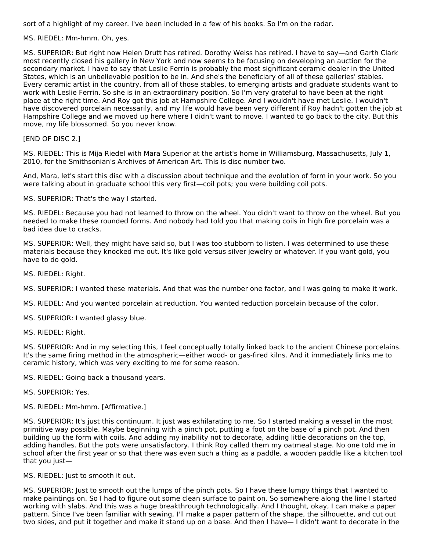sort of a highlight of my career. I've been included in a few of his books. So I'm on the radar.

MS. RIEDEL: Mm-hmm. Oh, yes.

MS. SUPERIOR: But right now Helen Drutt has retired. Dorothy Weiss has retired. I have to say—and Garth Clark most recently closed his gallery in New York and now seems to be focusing on developing an auction for the secondary market. I have to say that Leslie Ferrin is probably the most significant ceramic dealer in the United States, which is an unbelievable position to be in. And she's the beneficiary of all of these galleries' stables. Every ceramic artist in the country, from all of those stables, to emerging artists and graduate students want to work with Leslie Ferrin. So she is in an extraordinary position. So I'm very grateful to have been at the right place at the right time. And Roy got this job at Hampshire College. And I wouldn't have met Leslie. I wouldn't have discovered porcelain necessarily, and my life would have been very different if Roy hadn't gotten the job at Hampshire College and we moved up here where I didn't want to move. I wanted to go back to the city. But this move, my life blossomed. So you never know.

[END OF DISC 2.]

MS. RIEDEL: This is Mija Riedel with Mara Superior at the artist's home in Williamsburg, Massachusetts, July 1, 2010, for the Smithsonian's Archives of American Art. This is disc number two.

And, Mara, let's start this disc with a discussion about technique and the evolution of form in your work. So you were talking about in graduate school this very first—coil pots; you were building coil pots.

MS. SUPERIOR: That's the way I started.

MS. RIEDEL: Because you had not learned to throw on the wheel. You didn't want to throw on the wheel. But you needed to make these rounded forms. And nobody had told you that making coils in high fire porcelain was a bad idea due to cracks.

MS. SUPERIOR: Well, they might have said so, but I was too stubborn to listen. I was determined to use these materials because they knocked me out. It's like gold versus silver jewelry or whatever. If you want gold, you have to do gold.

MS. RIEDEL: Right.

MS. SUPERIOR: I wanted these materials. And that was the number one factor, and I was going to make it work.

MS. RIEDEL: And you wanted porcelain at reduction. You wanted reduction porcelain because of the color.

MS. SUPERIOR: I wanted glassy blue.

MS. RIEDEL: Right.

MS. SUPERIOR: And in my selecting this, I feel conceptually totally linked back to the ancient Chinese porcelains. It's the same firing method in the atmospheric—either wood- or gas-fired kilns. And it immediately links me to ceramic history, which was very exciting to me for some reason.

MS. RIEDEL: Going back a thousand years.

MS. SUPERIOR: Yes.

MS. RIEDEL: Mm-hmm. [Affirmative.]

MS. SUPERIOR: It's just this continuum. It just was exhilarating to me. So I started making a vessel in the most primitive way possible. Maybe beginning with a pinch pot, putting a foot on the base of a pinch pot. And then building up the form with coils. And adding my inability not to decorate, adding little decorations on the top, adding handles. But the pots were unsatisfactory. I think Roy called them my oatmeal stage. No one told me in school after the first year or so that there was even such a thing as a paddle, a wooden paddle like a kitchen tool that you just—

MS. RIEDEL: Just to smooth it out.

MS. SUPERIOR: Just to smooth out the lumps of the pinch pots. So I have these lumpy things that I wanted to make paintings on. So I had to figure out some clean surface to paint on. So somewhere along the line I started working with slabs. And this was a huge breakthrough technologically. And I thought, okay, I can make a paper pattern. Since I've been familiar with sewing, I'll make a paper pattern of the shape, the silhouette, and cut out two sides, and put it together and make it stand up on a base. And then I have— I didn't want to decorate in the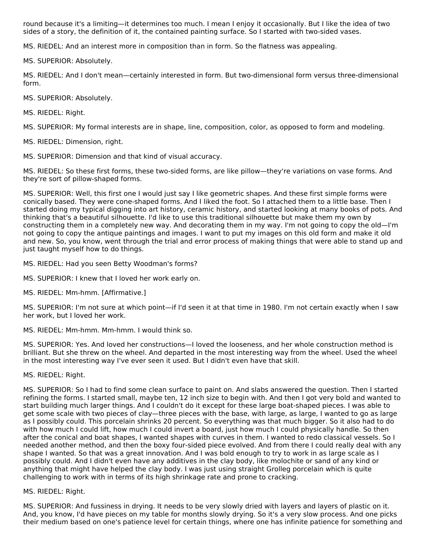round because it's a limiting—it determines too much. I mean I enjoy it occasionally. But I like the idea of two sides of a story, the definition of it, the contained painting surface. So I started with two-sided vases.

MS. RIEDEL: And an interest more in composition than in form. So the flatness was appealing.

MS. SUPERIOR: Absolutely.

MS. RIEDEL: And I don't mean—certainly interested in form. But two-dimensional form versus three-dimensional form.

MS. SUPERIOR: Absolutely.

MS. RIEDEL: Right.

MS. SUPERIOR: My formal interests are in shape, line, composition, color, as opposed to form and modeling.

MS. RIEDEL: Dimension, right.

MS. SUPERIOR: Dimension and that kind of visual accuracy.

MS. RIEDEL: So these first forms, these two-sided forms, are like pillow—they're variations on vase forms. And they're sort of pillow-shaped forms.

MS. SUPERIOR: Well, this first one I would just say I like geometric shapes. And these first simple forms were conically based. They were cone-shaped forms. And I liked the foot. So I attached them to a little base. Then I started doing my typical digging into art history, ceramic history, and started looking at many books of pots. And thinking that's a beautiful silhouette. I'd like to use this traditional silhouette but make them my own by constructing them in a completely new way. And decorating them in my way. I'm not going to copy the old—I'm not going to copy the antique paintings and images. I want to put my images on this old form and make it old and new. So, you know, went through the trial and error process of making things that were able to stand up and just taught myself how to do things.

MS. RIEDEL: Had you seen Betty Woodman's forms?

MS. SUPERIOR: I knew that I loved her work early on.

MS. RIEDEL: Mm-hmm. [Affirmative.]

MS. SUPERIOR: I'm not sure at which point—if I'd seen it at that time in 1980. I'm not certain exactly when I saw her work, but I loved her work.

MS. RIEDEL: Mm-hmm. Mm-hmm. I would think so.

MS. SUPERIOR: Yes. And loved her constructions—I loved the looseness, and her whole construction method is brilliant. But she threw on the wheel. And departed in the most interesting way from the wheel. Used the wheel in the most interesting way I've ever seen it used. But I didn't even have that skill.

MS. RIEDEL: Right.

MS. SUPERIOR: So I had to find some clean surface to paint on. And slabs answered the question. Then I started refining the forms. I started small, maybe ten, 12 inch size to begin with. And then I got very bold and wanted to start building much larger things. And I couldn't do it except for these large boat-shaped pieces. I was able to get some scale with two pieces of clay—three pieces with the base, with large, as large, I wanted to go as large as I possibly could. This porcelain shrinks 20 percent. So everything was that much bigger. So it also had to do with how much I could lift, how much I could invert a board, just how much I could physically handle. So then after the conical and boat shapes, I wanted shapes with curves in them. I wanted to redo classical vessels. So I needed another method, and then the boxy four-sided piece evolved. And from there I could really deal with any shape I wanted. So that was a great innovation. And I was bold enough to try to work in as large scale as I possibly could. And I didn't even have any additives in the clay body, like molochite or sand of any kind or anything that might have helped the clay body. I was just using straight Grolleg porcelain which is quite challenging to work with in terms of its high shrinkage rate and prone to cracking.

#### MS. RIEDEL: Right.

MS. SUPERIOR: And fussiness in drying. It needs to be very slowly dried with layers and layers of plastic on it. And, you know, I'd have pieces on my table for months slowly drying. So it's a very slow process. And one picks their medium based on one's patience level for certain things, where one has infinite patience for something and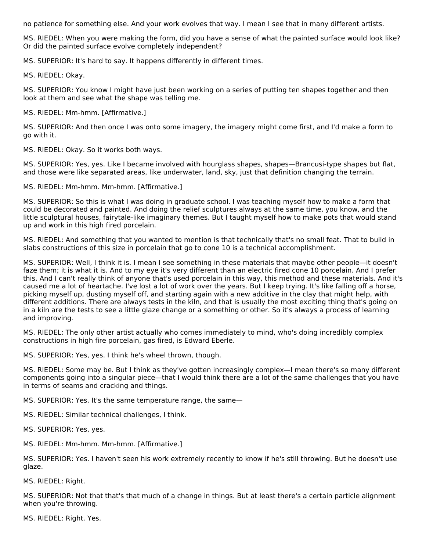no patience for something else. And your work evolves that way. I mean I see that in many different artists.

MS. RIEDEL: When you were making the form, did you have a sense of what the painted surface would look like? Or did the painted surface evolve completely independent?

MS. SUPERIOR: It's hard to say. It happens differently in different times.

MS. RIEDEL: Okay.

MS. SUPERIOR: You know I might have just been working on a series of putting ten shapes together and then look at them and see what the shape was telling me.

MS. RIEDEL: Mm-hmm. [Affirmative.]

MS. SUPERIOR: And then once I was onto some imagery, the imagery might come first, and I'd make a form to go with it.

MS. RIEDEL: Okay. So it works both ways.

MS. SUPERIOR: Yes, yes. Like I became involved with hourglass shapes, shapes—Brancusi-type shapes but flat, and those were like separated areas, like underwater, land, sky, just that definition changing the terrain.

MS. RIEDEL: Mm-hmm. Mm-hmm. [Affirmative.]

MS. SUPERIOR: So this is what I was doing in graduate school. I was teaching myself how to make a form that could be decorated and painted. And doing the relief sculptures always at the same time, you know, and the little sculptural houses, fairytale-like imaginary themes. But I taught myself how to make pots that would stand up and work in this high fired porcelain.

MS. RIEDEL: And something that you wanted to mention is that technically that's no small feat. That to build in slabs constructions of this size in porcelain that go to cone 10 is a technical accomplishment.

MS. SUPERIOR: Well, I think it is. I mean I see something in these materials that maybe other people—it doesn't faze them; it is what it is. And to my eye it's very different than an electric fired cone 10 porcelain. And I prefer this. And I can't really think of anyone that's used porcelain in this way, this method and these materials. And it's caused me a lot of heartache. I've lost a lot of work over the years. But I keep trying. It's like falling off a horse, picking myself up, dusting myself off, and starting again with a new additive in the clay that might help, with different additions. There are always tests in the kiln, and that is usually the most exciting thing that's going on in a kiln are the tests to see a little glaze change or a something or other. So it's always a process of learning and improving.

MS. RIEDEL: The only other artist actually who comes immediately to mind, who's doing incredibly complex constructions in high fire porcelain, gas fired, is Edward Eberle.

MS. SUPERIOR: Yes, yes. I think he's wheel thrown, though.

MS. RIEDEL: Some may be. But I think as they've gotten increasingly complex—I mean there's so many different components going into a singular piece—that I would think there are a lot of the same challenges that you have in terms of seams and cracking and things.

MS. SUPERIOR: Yes. It's the same temperature range, the same—

MS. RIEDEL: Similar technical challenges, I think.

MS. SUPERIOR: Yes, yes.

MS. RIEDEL: Mm-hmm. Mm-hmm. [Affirmative.]

MS. SUPERIOR: Yes. I haven't seen his work extremely recently to know if he's still throwing. But he doesn't use glaze.

MS. RIEDEL: Right.

MS. SUPERIOR: Not that that's that much of a change in things. But at least there's a certain particle alignment when you're throwing.

MS. RIEDEL: Right. Yes.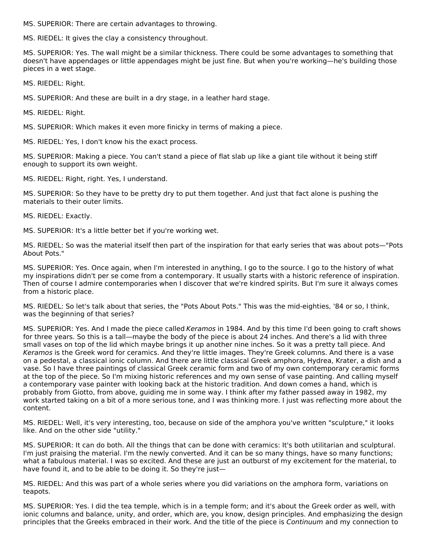MS. SUPERIOR: There are certain advantages to throwing.

MS. RIEDEL: It gives the clay a consistency throughout.

MS. SUPERIOR: Yes. The wall might be a similar thickness. There could be some advantages to something that doesn't have appendages or little appendages might be just fine. But when you're working—he's building those pieces in a wet stage.

MS. RIEDEL: Right.

MS. SUPERIOR: And these are built in a dry stage, in a leather hard stage.

MS. RIEDEL: Right.

MS. SUPERIOR: Which makes it even more finicky in terms of making a piece.

MS. RIEDEL: Yes, I don't know his the exact process.

MS. SUPERIOR: Making a piece. You can't stand a piece of flat slab up like a giant tile without it being stiff enough to support its own weight.

MS. RIEDEL: Right, right. Yes, I understand.

MS. SUPERIOR: So they have to be pretty dry to put them together. And just that fact alone is pushing the materials to their outer limits.

MS. RIEDEL: Exactly.

MS. SUPERIOR: It's a little better bet if you're working wet.

MS. RIEDEL: So was the material itself then part of the inspiration for that early series that was about pots—"Pots About Pots."

MS. SUPERIOR: Yes. Once again, when I'm interested in anything, I go to the source. I go to the history of what my inspirations didn't per se come from a contemporary. It usually starts with a historic reference of inspiration. Then of course I admire contemporaries when I discover that we're kindred spirits. But I'm sure it always comes from a historic place.

MS. RIEDEL: So let's talk about that series, the "Pots About Pots." This was the mid-eighties, '84 or so, I think, was the beginning of that series?

MS. SUPERIOR: Yes. And I made the piece called Keramos in 1984. And by this time I'd been going to craft shows for three years. So this is a tall—maybe the body of the piece is about 24 inches. And there's a lid with three small vases on top of the lid which maybe brings it up another nine inches. So it was a pretty tall piece. And Keramos is the Greek word for ceramics. And they're little images. They're Greek columns. And there is a vase on a pedestal, a classical ionic column. And there are little classical Greek amphora, Hydrea, Krater, a dish and a vase. So I have three paintings of classical Greek ceramic form and two of my own contemporary ceramic forms at the top of the piece. So I'm mixing historic references and my own sense of vase painting. And calling myself a contemporary vase painter with looking back at the historic tradition. And down comes a hand, which is probably from Giotto, from above, guiding me in some way. I think after my father passed away in 1982, my work started taking on a bit of a more serious tone, and I was thinking more. I just was reflecting more about the content.

MS. RIEDEL: Well, it's very interesting, too, because on side of the amphora you've written "sculpture," it looks like. And on the other side "utility."

MS. SUPERIOR: It can do both. All the things that can be done with ceramics: It's both utilitarian and sculptural. I'm just praising the material. I'm the newly converted. And it can be so many things, have so many functions; what a fabulous material. I was so excited. And these are just an outburst of my excitement for the material, to have found it, and to be able to be doing it. So they're just—

MS. RIEDEL: And this was part of a whole series where you did variations on the amphora form, variations on teapots.

MS. SUPERIOR: Yes. I did the tea temple, which is in a temple form; and it's about the Greek order as well, with ionic columns and balance, unity, and order, which are, you know, design principles. And emphasizing the design principles that the Greeks embraced in their work. And the title of the piece is Continuum and my connection to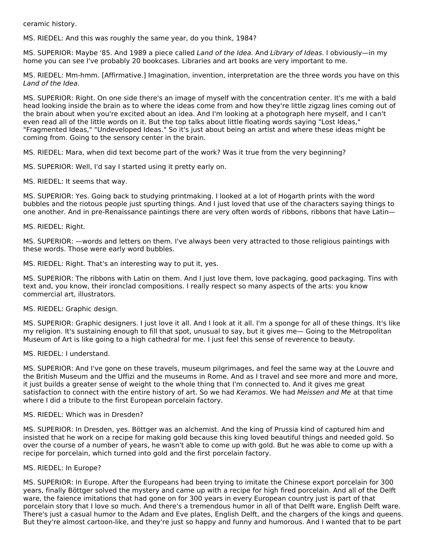ceramic history.

MS. RIEDEL: And this was roughly the same year, do you think, 1984?

MS. SUPERIOR: Maybe '85. And 1989 a piece called Land of the Idea. And Library of Ideas. I obviously—in my home you can see I've probably 20 bookcases. Libraries and art books are very important to me.

MS. RIEDEL: Mm-hmm. [Affirmative.] Imagination, invention, interpretation are the three words you have on this Land of the Idea.

MS. SUPERIOR: Right. On one side there's an image of myself with the concentration center. It's me with a bald head looking inside the brain as to where the ideas come from and how they're little zigzag lines coming out of the brain about when you're excited about an idea. And I'm looking at a photograph here myself, and I can't even read all of the little words on it. But the top talks about little floating words saying "Lost Ideas," "Fragmented Ideas," "Undeveloped Ideas." So it's just about being an artist and where these ideas might be coming from. Going to the sensory center in the brain.

MS. RIEDEL: Mara, when did text become part of the work? Was it true from the very beginning?

MS. SUPERIOR: Well, I'd say I started using it pretty early on.

MS. RIEDEL: It seems that way.

MS. SUPERIOR: Yes. Going back to studying printmaking. I looked at a lot of Hogarth prints with the word bubbles and the riotous people just spurting things. And I just loved that use of the characters saying things to one another. And in pre-Renaissance paintings there are very often words of ribbons, ribbons that have Latin—

MS. RIEDEL: Right.

MS. SUPERIOR: —words and letters on them. I've always been very attracted to those religious paintings with these words. Those were early word bubbles.

MS. RIEDEL: Right. That's an interesting way to put it, yes.

MS. SUPERIOR: The ribbons with Latin on them. And I just love them, love packaging, good packaging. Tins with text and, you know, their ironclad compositions. I really respect so many aspects of the arts: you know commercial art, illustrators.

MS. RIEDEL: Graphic design.

MS. SUPERIOR: Graphic designers. I just love it all. And I look at it all. I'm a sponge for all of these things. It's like my religion. It's sustaining enough to fill that spot, unusual to say, but it gives me— Going to the Metropolitan Museum of Art is like going to a high cathedral for me. I just feel this sense of reverence to beauty.

MS. RIEDEL: I understand.

MS. SUPERIOR: And I've gone on these travels, museum pilgrimages, and feel the same way at the Louvre and the British Museum and the Uffizi and the museums in Rome. And as I travel and see more and more and more, it just builds a greater sense of weight to the whole thing that I'm connected to. And it gives me great satisfaction to connect with the entire history of art. So we had Keramos. We had Meissen and Me at that time where I did a tribute to the first European porcelain factory.

#### MS. RIEDEL: Which was in Dresden?

MS. SUPERIOR: In Dresden, yes. Böttger was an alchemist. And the king of Prussia kind of captured him and insisted that he work on a recipe for making gold because this king loved beautiful things and needed gold. So over the course of a number of years, he wasn't able to come up with gold. But he was able to come up with a recipe for porcelain, which turned into gold and the first porcelain factory.

#### MS. RIEDEL: In Europe?

MS. SUPERIOR: In Europe. After the Europeans had been trying to imitate the Chinese export porcelain for 300 years, finally Böttger solved the mystery and came up with a recipe for high fired porcelain. And all of the Delft ware, the faience imitations that had gone on for 300 years in every European country just is part of that porcelain story that I love so much. And there's a tremendous humor in all of that Delft ware, English Delft ware. There's just a casual humor to the Adam and Eve plates, English Delft, and the chargers of the kings and queens. But they're almost cartoon-like, and they're just so happy and funny and humorous. And I wanted that to be part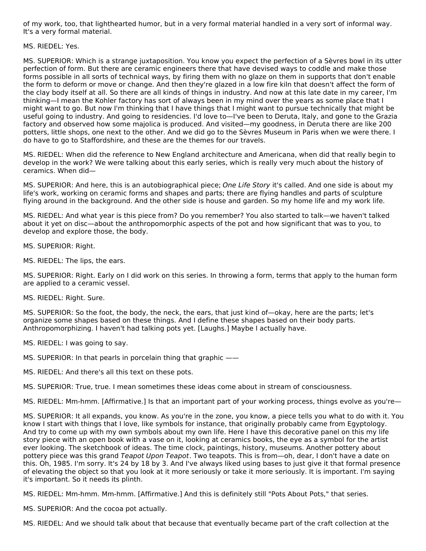of my work, too, that lighthearted humor, but in a very formal material handled in a very sort of informal way. It's a very formal material.

MS. RIEDEL: Yes.

MS. SUPERIOR: Which is a strange juxtaposition. You know you expect the perfection of a Sèvres bowl in its utter perfection of form. But there are ceramic engineers there that have devised ways to coddle and make those forms possible in all sorts of technical ways, by firing them with no glaze on them in supports that don't enable the form to deform or move or change. And then they're glazed in a low fire kiln that doesn't affect the form of the clay body itself at all. So there are all kinds of things in industry. And now at this late date in my career, I'm thinking—I mean the Kohler factory has sort of always been in my mind over the years as some place that I might want to go. But now I'm thinking that I have things that I might want to pursue technically that might be useful going to industry. And going to residencies. I'd love to—I've been to Deruta, Italy, and gone to the Grazia factory and observed how some majolica is produced. And visited—my goodness, in Deruta there are like 200 potters, little shops, one next to the other. And we did go to the Sèvres Museum in Paris when we were there. I do have to go to Staffordshire, and these are the themes for our travels.

MS. RIEDEL: When did the reference to New England architecture and Americana, when did that really begin to develop in the work? We were talking about this early series, which is really very much about the history of ceramics. When did—

MS. SUPERIOR: And here, this is an autobiographical piece; One Life Story it's called. And one side is about my life's work, working on ceramic forms and shapes and parts; there are flying handles and parts of sculpture flying around in the background. And the other side is house and garden. So my home life and my work life.

MS. RIEDEL: And what year is this piece from? Do you remember? You also started to talk—we haven't talked about it yet on disc—about the anthropomorphic aspects of the pot and how significant that was to you, to develop and explore those, the body.

MS. SUPERIOR: Right.

MS. RIEDEL: The lips, the ears.

MS. SUPERIOR: Right. Early on I did work on this series. In throwing a form, terms that apply to the human form are applied to a ceramic vessel.

MS. RIEDEL: Right. Sure.

MS. SUPERIOR: So the foot, the body, the neck, the ears, that just kind of—okay, here are the parts; let's organize some shapes based on these things. And I define these shapes based on their body parts. Anthropomorphizing. I haven't had talking pots yet. [Laughs.] Maybe I actually have.

MS. RIEDEL: I was going to say.

MS. SUPERIOR: In that pearls in porcelain thing that graphic ——

MS. RIEDEL: And there's all this text on these pots.

MS. SUPERIOR: True, true. I mean sometimes these ideas come about in stream of consciousness.

MS. RIEDEL: Mm-hmm. [Affirmative.] Is that an important part of your working process, things evolve as you're—

MS. SUPERIOR: It all expands, you know. As you're in the zone, you know, a piece tells you what to do with it. You know I start with things that I love, like symbols for instance, that originally probably came from Egyptology. And try to come up with my own symbols about my own life. Here I have this decorative panel on this my life story piece with an open book with a vase on it, looking at ceramics books, the eye as a symbol for the artist ever looking. The sketchbook of ideas. The time clock, paintings, history, museums. Another pottery about pottery piece was this grand Teapot Upon Teapot. Two teapots. This is from-oh, dear, I don't have a date on this. Oh, 1985. I'm sorry. It's 24 by 18 by 3. And I've always liked using bases to just give it that formal presence of elevating the object so that you look at it more seriously or take it more seriously. It is important. I'm saying it's important. So it needs its plinth.

MS. RIEDEL: Mm-hmm. Mm-hmm. [Affirmative.] And this is definitely still "Pots About Pots," that series.

MS. SUPERIOR: And the cocoa pot actually.

MS. RIEDEL: And we should talk about that because that eventually became part of the craft collection at the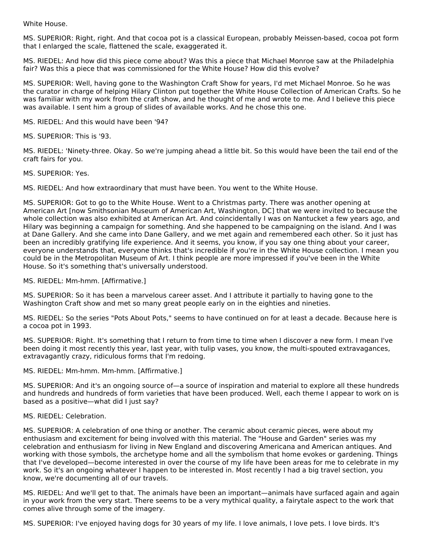White House.

MS. SUPERIOR: Right, right. And that cocoa pot is a classical European, probably Meissen-based, cocoa pot form that I enlarged the scale, flattened the scale, exaggerated it.

MS. RIEDEL: And how did this piece come about? Was this a piece that Michael Monroe saw at the Philadelphia fair? Was this a piece that was commissioned for the White House? How did this evolve?

MS. SUPERIOR: Well, having gone to the Washington Craft Show for years, I'd met Michael Monroe. So he was the curator in charge of helping Hilary Clinton put together the White House Collection of American Crafts. So he was familiar with my work from the craft show, and he thought of me and wrote to me. And I believe this piece was available. I sent him a group of slides of available works. And he chose this one.

MS. RIEDEL: And this would have been '94?

MS. SUPERIOR: This is '93.

MS. RIEDEL: 'Ninety-three. Okay. So we're jumping ahead a little bit. So this would have been the tail end of the craft fairs for you.

MS. SUPERIOR: Yes.

MS. RIEDEL: And how extraordinary that must have been. You went to the White House.

MS. SUPERIOR: Got to go to the White House. Went to a Christmas party. There was another opening at American Art [now Smithsonian Museum of American Art, Washington, DC] that we were invited to because the whole collection was also exhibited at American Art. And coincidentally I was on Nantucket a few years ago, and Hilary was beginning a campaign for something. And she happened to be campaigning on the island. And I was at Dane Gallery. And she came into Dane Gallery, and we met again and remembered each other. So it just has been an incredibly gratifying life experience. And it seems, you know, if you say one thing about your career, everyone understands that, everyone thinks that's incredible if you're in the White House collection. I mean you could be in the Metropolitan Museum of Art. I think people are more impressed if you've been in the White House. So it's something that's universally understood.

MS. RIEDEL: Mm-hmm. [Affirmative.]

MS. SUPERIOR: So it has been a marvelous career asset. And I attribute it partially to having gone to the Washington Craft show and met so many great people early on in the eighties and nineties.

MS. RIEDEL: So the series "Pots About Pots," seems to have continued on for at least a decade. Because here is a cocoa pot in 1993.

MS. SUPERIOR: Right. It's something that I return to from time to time when I discover a new form. I mean I've been doing it most recently this year, last year, with tulip vases, you know, the multi-spouted extravagances, extravagantly crazy, ridiculous forms that I'm redoing.

MS. RIEDEL: Mm-hmm. Mm-hmm. [Affirmative.]

MS. SUPERIOR: And it's an ongoing source of—a source of inspiration and material to explore all these hundreds and hundreds and hundreds of form varieties that have been produced. Well, each theme I appear to work on is based as a positive—what did I just say?

MS. RIEDEL: Celebration.

MS. SUPERIOR: A celebration of one thing or another. The ceramic about ceramic pieces, were about my enthusiasm and excitement for being involved with this material. The "House and Garden" series was my celebration and enthusiasm for living in New England and discovering Americana and American antiques. And working with those symbols, the archetype home and all the symbolism that home evokes or gardening. Things that I've developed—become interested in over the course of my life have been areas for me to celebrate in my work. So it's an ongoing whatever I happen to be interested in. Most recently I had a big travel section, you know, we're documenting all of our travels.

MS. RIEDEL: And we'll get to that. The animals have been an important—animals have surfaced again and again in your work from the very start. There seems to be a very mythical quality, a fairytale aspect to the work that comes alive through some of the imagery.

MS. SUPERIOR: I've enjoyed having dogs for 30 years of my life. I love animals, I love pets. I love birds. It's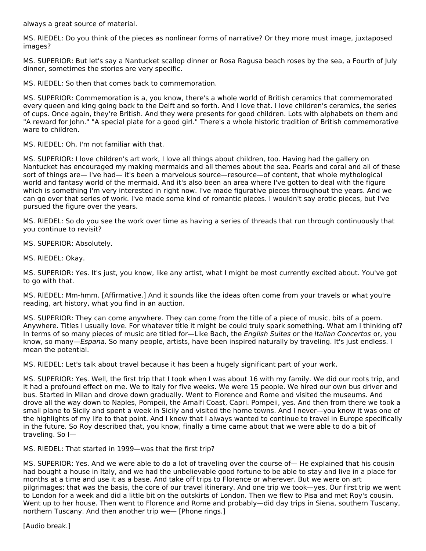always a great source of material.

MS. RIEDEL: Do you think of the pieces as nonlinear forms of narrative? Or they more must image, juxtaposed images?

MS. SUPERIOR: But let's say a Nantucket scallop dinner or Rosa Ragusa beach roses by the sea, a Fourth of July dinner, sometimes the stories are very specific.

MS. RIEDEL: So then that comes back to commemoration.

MS. SUPERIOR: Commemoration is a, you know, there's a whole world of British ceramics that commemorated every queen and king going back to the Delft and so forth. And I love that. I love children's ceramics, the series of cups. Once again, they're British. And they were presents for good children. Lots with alphabets on them and "A reward for John." "A special plate for a good girl." There's a whole historic tradition of British commemorative ware to children.

MS. RIEDEL: Oh, I'm not familiar with that.

MS. SUPERIOR: I love children's art work, I love all things about children, too. Having had the gallery on Nantucket has encouraged my making mermaids and all themes about the sea. Pearls and coral and all of these sort of things are— I've had— it's been a marvelous source—resource—of content, that whole mythological world and fantasy world of the mermaid. And it's also been an area where I've gotten to deal with the figure which is something I'm very interested in right now. I've made figurative pieces throughout the years. And we can go over that series of work. I've made some kind of romantic pieces. I wouldn't say erotic pieces, but I've pursued the figure over the years.

MS. RIEDEL: So do you see the work over time as having a series of threads that run through continuously that you continue to revisit?

MS. SUPERIOR: Absolutely.

MS. RIEDEL: Okay.

MS. SUPERIOR: Yes. It's just, you know, like any artist, what I might be most currently excited about. You've got to go with that.

MS. RIEDEL: Mm-hmm. [Affirmative.] And it sounds like the ideas often come from your travels or what you're reading, art history, what you find in an auction.

MS. SUPERIOR: They can come anywhere. They can come from the title of a piece of music, bits of a poem. Anywhere. Titles I usually love. For whatever title it might be could truly spark something. What am I thinking of? In terms of so many pieces of music are titled for—Like Bach, the English Suites or the Italian Concertos or, you know, so many—Espana. So many people, artists, have been inspired naturally by traveling. It's just endless. I mean the potential.

MS. RIEDEL: Let's talk about travel because it has been a hugely significant part of your work.

MS. SUPERIOR: Yes. Well, the first trip that I took when I was about 16 with my family. We did our roots trip, and it had a profound effect on me. We to Italy for five weeks. We were 15 people. We hired our own bus driver and bus. Started in Milan and drove down gradually. Went to Florence and Rome and visited the museums. And drove all the way down to Naples, Pompeii, the Amalfi Coast, Capri. Pompeii, yes. And then from there we took a small plane to Sicily and spent a week in Sicily and visited the home towns. And I never—you know it was one of the highlights of my life to that point. And I knew that I always wanted to continue to travel in Europe specifically in the future. So Roy described that, you know, finally a time came about that we were able to do a bit of traveling. So I—

MS. RIEDEL: That started in 1999—was that the first trip?

MS. SUPERIOR: Yes. And we were able to do a lot of traveling over the course of— He explained that his cousin had bought a house in Italy, and we had the unbelievable good fortune to be able to stay and live in a place for months at a time and use it as a base. And take off trips to Florence or wherever. But we were on art pilgrimages; that was the basis, the core of our travel itinerary. And one trip we took—yes. Our first trip we went to London for a week and did a little bit on the outskirts of London. Then we flew to Pisa and met Roy's cousin. Went up to her house. Then went to Florence and Rome and probably—did day trips in Siena, southern Tuscany, northern Tuscany. And then another trip we— [Phone rings.]

[Audio break.]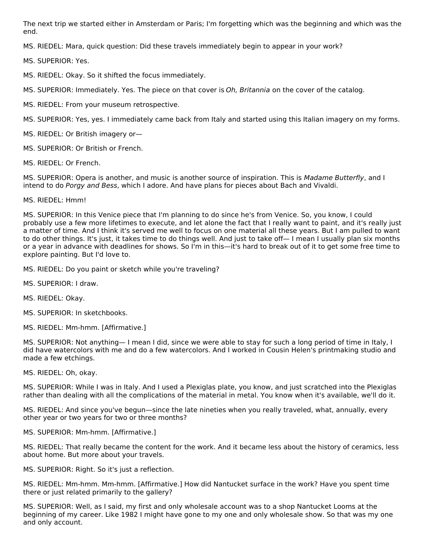The next trip we started either in Amsterdam or Paris; I'm forgetting which was the beginning and which was the end.

MS. RIEDEL: Mara, quick question: Did these travels immediately begin to appear in your work?

MS. SUPERIOR: Yes.

MS. RIEDEL: Okay. So it shifted the focus immediately.

MS. SUPERIOR: Immediately. Yes. The piece on that cover is Oh, Britannia on the cover of the catalog.

MS. RIEDEL: From your museum retrospective.

MS. SUPERIOR: Yes, yes. I immediately came back from Italy and started using this Italian imagery on my forms.

MS. RIEDEL: Or British imagery or—

MS. SUPERIOR: Or British or French.

MS. RIEDEL: Or French.

MS. SUPERIOR: Opera is another, and music is another source of inspiration. This is Madame Butterfly, and I intend to do Porgy and Bess, which I adore. And have plans for pieces about Bach and Vivaldi.

#### MS. RIEDEL: Hmm!

MS. SUPERIOR: In this Venice piece that I'm planning to do since he's from Venice. So, you know, I could probably use a few more lifetimes to execute, and let alone the fact that I really want to paint, and it's really just a matter of time. And I think it's served me well to focus on one material all these years. But I am pulled to want to do other things. It's just, it takes time to do things well. And just to take off— I mean I usually plan six months or a year in advance with deadlines for shows. So I'm in this—it's hard to break out of it to get some free time to explore painting. But I'd love to.

MS. RIEDEL: Do you paint or sketch while you're traveling?

MS. SUPERIOR: I draw.

MS. RIEDEL: Okay.

MS. SUPERIOR: In sketchbooks.

MS. RIEDEL: Mm-hmm. [Affirmative.]

MS. SUPERIOR: Not anything— I mean I did, since we were able to stay for such a long period of time in Italy, I did have watercolors with me and do a few watercolors. And I worked in Cousin Helen's printmaking studio and made a few etchings.

MS. RIEDEL: Oh, okay.

MS. SUPERIOR: While I was in Italy. And I used a Plexiglas plate, you know, and just scratched into the Plexiglas rather than dealing with all the complications of the material in metal. You know when it's available, we'll do it.

MS. RIEDEL: And since you've begun—since the late nineties when you really traveled, what, annually, every other year or two years for two or three months?

#### MS. SUPERIOR: Mm-hmm. [Affirmative.]

MS. RIEDEL: That really became the content for the work. And it became less about the history of ceramics, less about home. But more about your travels.

MS. SUPERIOR: Right. So it's just a reflection.

MS. RIEDEL: Mm-hmm. Mm-hmm. [Affirmative.] How did Nantucket surface in the work? Have you spent time there or just related primarily to the gallery?

MS. SUPERIOR: Well, as I said, my first and only wholesale account was to a shop Nantucket Looms at the beginning of my career. Like 1982 I might have gone to my one and only wholesale show. So that was my one and only account.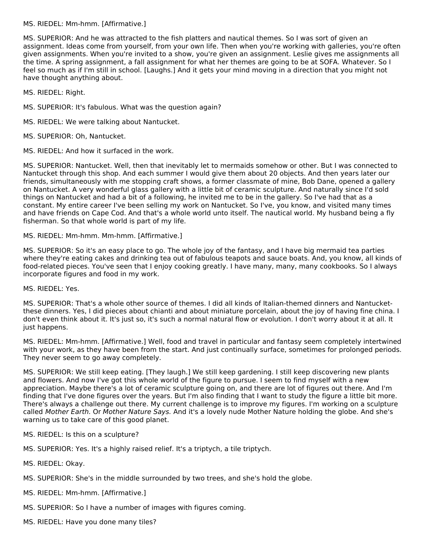# MS. RIEDEL: Mm-hmm. [Affirmative.]

MS. SUPERIOR: And he was attracted to the fish platters and nautical themes. So I was sort of given an assignment. Ideas come from yourself, from your own life. Then when you're working with galleries, you're often given assignments. When you're invited to a show, you're given an assignment. Leslie gives me assignments all the time. A spring assignment, a fall assignment for what her themes are going to be at SOFA. Whatever. So I feel so much as if I'm still in school. [Laughs.] And it gets your mind moving in a direction that you might not have thought anything about.

MS. RIEDEL: Right.

MS. SUPERIOR: It's fabulous. What was the question again?

MS. RIEDEL: We were talking about Nantucket.

MS. SUPERIOR: Oh, Nantucket.

MS. RIEDEL: And how it surfaced in the work.

MS. SUPERIOR: Nantucket. Well, then that inevitably let to mermaids somehow or other. But I was connected to Nantucket through this shop. And each summer I would give them about 20 objects. And then years later our friends, simultaneously with me stopping craft shows, a former classmate of mine, Bob Dane, opened a gallery on Nantucket. A very wonderful glass gallery with a little bit of ceramic sculpture. And naturally since I'd sold things on Nantucket and had a bit of a following, he invited me to be in the gallery. So I've had that as a constant. My entire career I've been selling my work on Nantucket. So I've, you know, and visited many times and have friends on Cape Cod. And that's a whole world unto itself. The nautical world. My husband being a fly fisherman. So that whole world is part of my life.

MS. RIEDEL: Mm-hmm. Mm-hmm. [Affirmative.]

MS. SUPERIOR: So it's an easy place to go. The whole joy of the fantasy, and I have big mermaid tea parties where they're eating cakes and drinking tea out of fabulous teapots and sauce boats. And, you know, all kinds of food-related pieces. You've seen that I enjoy cooking greatly. I have many, many, many cookbooks. So I always incorporate figures and food in my work.

MS. RIEDEL: Yes.

MS. SUPERIOR: That's a whole other source of themes. I did all kinds of Italian-themed dinners and Nantucketthese dinners. Yes, I did pieces about chianti and about miniature porcelain, about the joy of having fine china. I don't even think about it. It's just so, it's such a normal natural flow or evolution. I don't worry about it at all. It just happens.

MS. RIEDEL: Mm-hmm. [Affirmative.] Well, food and travel in particular and fantasy seem completely intertwined with your work, as they have been from the start. And just continually surface, sometimes for prolonged periods. They never seem to go away completely.

MS. SUPERIOR: We still keep eating. [They laugh.] We still keep gardening. I still keep discovering new plants and flowers. And now I've got this whole world of the figure to pursue. I seem to find myself with a new appreciation. Maybe there's a lot of ceramic sculpture going on, and there are lot of figures out there. And I'm finding that I've done figures over the years. But I'm also finding that I want to study the figure a little bit more. There's always a challenge out there. My current challenge is to improve my figures. I'm working on a sculpture called Mother Earth. Or Mother Nature Says. And it's a lovely nude Mother Nature holding the globe. And she's warning us to take care of this good planet.

MS. RIEDEL: Is this on a sculpture?

MS. SUPERIOR: Yes. It's a highly raised relief. It's a triptych, a tile triptych.

MS. RIEDEL: Okay.

- MS. SUPERIOR: She's in the middle surrounded by two trees, and she's hold the globe.
- MS. RIEDEL: Mm-hmm. [Affirmative.]
- MS. SUPERIOR: So I have a number of images with figures coming.
- MS. RIEDEL: Have you done many tiles?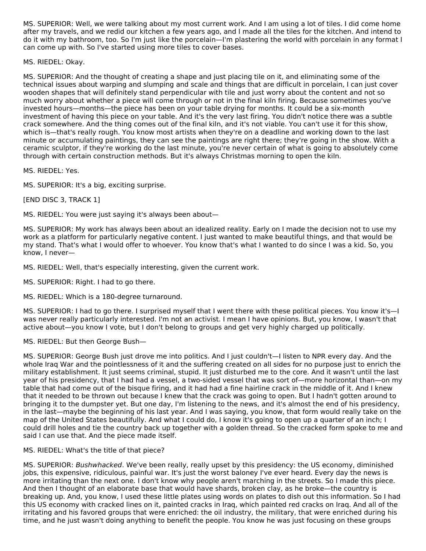MS. SUPERIOR: Well, we were talking about my most current work. And I am using a lot of tiles. I did come home after my travels, and we redid our kitchen a few years ago, and I made all the tiles for the kitchen. And intend to do it with my bathroom, too. So I'm just like the porcelain—I'm plastering the world with porcelain in any format I can come up with. So I've started using more tiles to cover bases.

MS. RIEDEL: Okay.

MS. SUPERIOR: And the thought of creating a shape and just placing tile on it, and eliminating some of the technical issues about warping and slumping and scale and things that are difficult in porcelain, I can just cover wooden shapes that will definitely stand perpendicular with tile and just worry about the content and not so much worry about whether a piece will come through or not in the final kiln firing. Because sometimes you've invested hours—months—the piece has been on your table drying for months. It could be a six-month investment of having this piece on your table. And it's the very last firing. You didn't notice there was a subtle crack somewhere. And the thing comes out of the final kiln, and it's not viable. You can't use it for this show, which is—that's really rough. You know most artists when they're on a deadline and working down to the last minute or accumulating paintings, they can see the paintings are right there; they're going in the show. With a ceramic sculptor, if they're working do the last minute, you're never certain of what is going to absolutely come through with certain construction methods. But it's always Christmas morning to open the kiln.

MS. RIEDEL: Yes.

MS. SUPERIOR: It's a big, exciting surprise.

[END DISC 3, TRACK 1]

MS. RIEDEL: You were just saying it's always been about—

MS. SUPERIOR: My work has always been about an idealized reality. Early on I made the decision not to use my work as a platform for particularly negative content. I just wanted to make beautiful things, and that would be my stand. That's what I would offer to whoever. You know that's what I wanted to do since I was a kid. So, you know, I never—

MS. RIEDEL: Well, that's especially interesting, given the current work.

MS. SUPERIOR: Right. I had to go there.

MS. RIEDEL: Which is a 180-degree turnaround.

MS. SUPERIOR: I had to go there. I surprised myself that I went there with these political pieces. You know it's—I was never really particularly interested. I'm not an activist. I mean I have opinions. But, you know, I wasn't that active about—you know I vote, but I don't belong to groups and get very highly charged up politically.

# MS. RIEDEL: But then George Bush—

MS. SUPERIOR: George Bush just drove me into politics. And I just couldn't—I listen to NPR every day. And the whole Iraq War and the pointlessness of it and the suffering created on all sides for no purpose just to enrich the military establishment. It just seems criminal, stupid. It just disturbed me to the core. And it wasn't until the last year of his presidency, that I had had a vessel, a two-sided vessel that was sort of—more horizontal than—on my table that had come out of the bisque firing, and it had had a fine hairline crack in the middle of it. And I knew that it needed to be thrown out because I knew that the crack was going to open. But I hadn't gotten around to bringing it to the dumpster yet. But one day, I'm listening to the news, and it's almost the end of his presidency, in the last—maybe the beginning of his last year. And I was saying, you know, that form would really take on the map of the United States beautifully. And what I could do, I know it's going to open up a quarter of an inch; I could drill holes and tie the country back up together with a golden thread. So the cracked form spoke to me and said I can use that. And the piece made itself.

# MS. RIEDEL: What's the title of that piece?

MS. SUPERIOR: Bushwhacked. We've been really, really upset by this presidency: the US economy, diminished jobs, this expensive, ridiculous, painful war. It's just the worst baloney I've ever heard. Every day the news is more irritating than the next one. I don't know why people aren't marching in the streets. So I made this piece. And then I thought of an elaborate base that would have shards, broken clay, as he broke—the country is breaking up. And, you know, I used these little plates using words on plates to dish out this information. So I had this US economy with cracked lines on it, painted cracks in Iraq, which painted red cracks on Iraq. And all of the irritating and his favored groups that were enriched: the oil industry, the military, that were enriched during his time, and he just wasn't doing anything to benefit the people. You know he was just focusing on these groups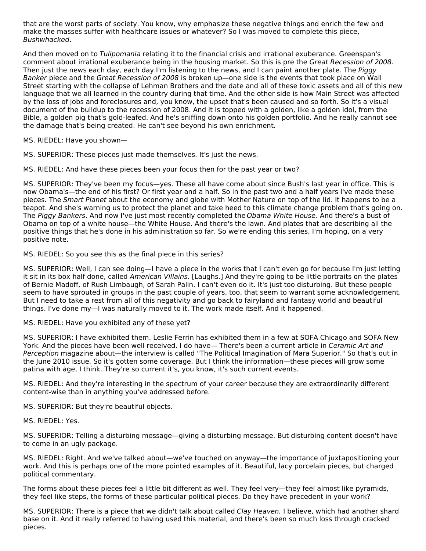that are the worst parts of society. You know, why emphasize these negative things and enrich the few and make the masses suffer with healthcare issues or whatever? So I was moved to complete this piece, Bushwhacked.

And then moved on to Tulipomania relating it to the financial crisis and irrational exuberance. Greenspan's comment about irrational exuberance being in the housing market. So this is pre the Great Recession of 2008. Then just the news each day, each day I'm listening to the news, and I can paint another plate. The Piggy Banker piece and the Great Recession of 2008 is broken up—one side is the events that took place on Wall Street starting with the collapse of Lehman Brothers and the date and all of these toxic assets and all of this new language that we all learned in the country during that time. And the other side is how Main Street was affected by the loss of jobs and foreclosures and, you know, the upset that's been caused and so forth. So it's a visual document of the buildup to the recession of 2008. And it is topped with a golden, like a golden idol, from the Bible, a golden pig that's gold-leafed. And he's sniffing down onto his golden portfolio. And he really cannot see the damage that's being created. He can't see beyond his own enrichment.

MS. RIEDEL: Have you shown—

MS. SUPERIOR: These pieces just made themselves. It's just the news.

MS. RIEDEL: And have these pieces been your focus then for the past year or two?

MS. SUPERIOR: They've been my focus—yes. These all have come about since Bush's last year in office. This is now Obama's—the end of his first? Or first year and a half. So in the past two and a half years I've made these pieces. The Smart Planet about the economy and globe with Mother Nature on top of the lid. It happens to be a teapot. And she's warning us to protect the planet and take heed to this climate change problem that's going on. The Piggy Bankers. And now I've just most recently completed the Obama White House. And there's a bust of Obama on top of a white house—the White House. And there's the lawn. And plates that are describing all the positive things that he's done in his administration so far. So we're ending this series, I'm hoping, on a very positive note.

MS. RIEDEL: So you see this as the final piece in this series?

MS. SUPERIOR: Well, I can see doing—I have a piece in the works that I can't even go for because I'm just letting it sit in its box half done, called American Villains. [Laughs.] And they're going to be little portraits on the plates of Bernie Madoff, of Rush Limbaugh, of Sarah Palin. I can't even do it. It's just too disturbing. But these people seem to have sprouted in groups in the past couple of years, too, that seem to warrant some acknowledgement. But I need to take a rest from all of this negativity and go back to fairyland and fantasy world and beautiful things. I've done my—I was naturally moved to it. The work made itself. And it happened.

MS. RIEDEL: Have you exhibited any of these yet?

MS. SUPERIOR: I have exhibited them. Leslie Ferrin has exhibited them in a few at SOFA Chicago and SOFA New York. And the pieces have been well received. I do have— There's been a current article in Ceramic Art and Perception magazine about—the interview is called "The Political Imagination of Mara Superior." So that's out in the June 2010 issue. So it's gotten some coverage. But I think the information—these pieces will grow some patina with age, I think. They're so current it's, you know, it's such current events.

MS. RIEDEL: And they're interesting in the spectrum of your career because they are extraordinarily different content-wise than in anything you've addressed before.

MS. SUPERIOR: But they're beautiful objects.

MS. RIEDEL: Yes.

MS. SUPERIOR: Telling a disturbing message—giving a disturbing message. But disturbing content doesn't have to come in an ugly package.

MS. RIEDEL: Right. And we've talked about—we've touched on anyway—the importance of juxtapositioning your work. And this is perhaps one of the more pointed examples of it. Beautiful, lacy porcelain pieces, but charged political commentary.

The forms about these pieces feel a little bit different as well. They feel very—they feel almost like pyramids, they feel like steps, the forms of these particular political pieces. Do they have precedent in your work?

MS. SUPERIOR: There is a piece that we didn't talk about called Clay Heaven. I believe, which had another shard base on it. And it really referred to having used this material, and there's been so much loss through cracked pieces.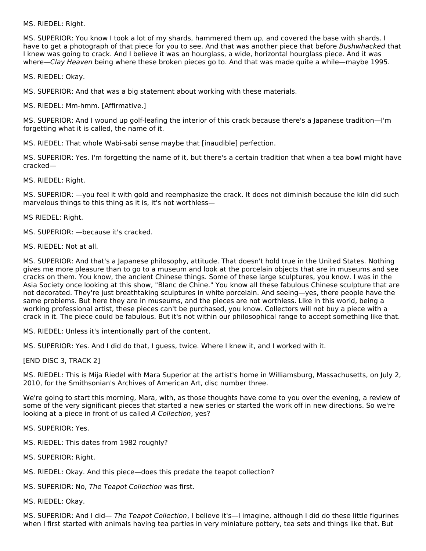MS. RIEDEL: Right.

MS. SUPERIOR: You know I took a lot of my shards, hammered them up, and covered the base with shards. I have to get a photograph of that piece for you to see. And that was another piece that before Bushwhacked that I knew was going to crack. And I believe it was an hourglass, a wide, horizontal hourglass piece. And it was where—Clay Heaven being where these broken pieces go to. And that was made quite a while—maybe 1995.

MS. RIEDEL: Okay.

MS. SUPERIOR: And that was a big statement about working with these materials.

MS. RIEDEL: Mm-hmm. [Affirmative.]

MS. SUPERIOR: And I wound up golf-leafing the interior of this crack because there's a Japanese tradition—I'm forgetting what it is called, the name of it.

MS. RIEDEL: That whole Wabi-sabi sense maybe that [inaudible] perfection.

MS. SUPERIOR: Yes. I'm forgetting the name of it, but there's a certain tradition that when a tea bowl might have cracked—

MS. RIEDEL: Right.

MS. SUPERIOR: —you feel it with gold and reemphasize the crack. It does not diminish because the kiln did such marvelous things to this thing as it is, it's not worthless—

MS RIEDEL: Right.

MS. SUPERIOR: —because it's cracked.

MS. RIEDEL: Not at all.

MS. SUPERIOR: And that's a Japanese philosophy, attitude. That doesn't hold true in the United States. Nothing gives me more pleasure than to go to a museum and look at the porcelain objects that are in museums and see cracks on them. You know, the ancient Chinese things. Some of these large sculptures, you know. I was in the Asia Society once looking at this show, "Blanc de Chine." You know all these fabulous Chinese sculpture that are not decorated. They're just breathtaking sculptures in white porcelain. And seeing—yes, there people have the same problems. But here they are in museums, and the pieces are not worthless. Like in this world, being a working professional artist, these pieces can't be purchased, you know. Collectors will not buy a piece with a crack in it. The piece could be fabulous. But it's not within our philosophical range to accept something like that.

MS. RIEDEL: Unless it's intentionally part of the content.

MS. SUPERIOR: Yes. And I did do that, I guess, twice. Where I knew it, and I worked with it.

[END DISC 3, TRACK 2]

MS. RIEDEL: This is Mija Riedel with Mara Superior at the artist's home in Williamsburg, Massachusetts, on July 2, 2010, for the Smithsonian's Archives of American Art, disc number three.

We're going to start this morning, Mara, with, as those thoughts have come to you over the evening, a review of some of the very significant pieces that started a new series or started the work off in new directions. So we're looking at a piece in front of us called A Collection, yes?

MS. SUPERIOR: Yes.

MS. RIEDEL: This dates from 1982 roughly?

MS. SUPERIOR: Right.

MS. RIEDEL: Okay. And this piece—does this predate the teapot collection?

MS. SUPERIOR: No, The Teapot Collection was first.

MS. RIEDEL: Okay.

MS. SUPERIOR: And I did— The Teapot Collection, I believe it's—I imagine, although I did do these little figurines when I first started with animals having tea parties in very miniature pottery, tea sets and things like that. But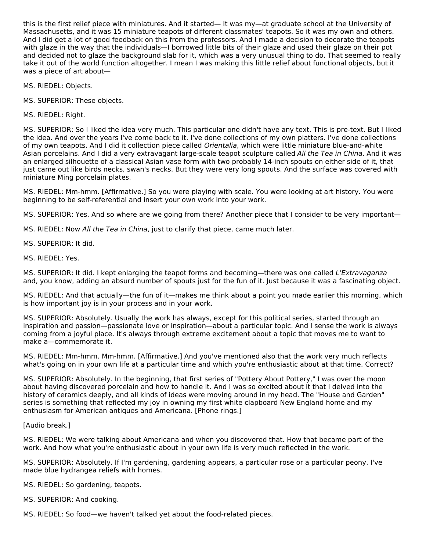this is the first relief piece with miniatures. And it started— It was my—at graduate school at the University of Massachusetts, and it was 15 miniature teapots of different classmates' teapots. So it was my own and others. And I did get a lot of good feedback on this from the professors. And I made a decision to decorate the teapots with glaze in the way that the individuals—I borrowed little bits of their glaze and used their glaze on their pot and decided not to glaze the background slab for it, which was a very unusual thing to do. That seemed to really take it out of the world function altogether. I mean I was making this little relief about functional objects, but it was a piece of art about—

MS. RIEDEL: Objects.

MS. SUPERIOR: These objects.

MS. RIEDEL: Right.

MS. SUPERIOR: So I liked the idea very much. This particular one didn't have any text. This is pre-text. But I liked the idea. And over the years I've come back to it. I've done collections of my own platters. I've done collections of my own teapots. And I did it collection piece called Orientalia, which were little miniature blue-and-white Asian porcelains. And I did a very extravagant large-scale teapot sculpture called All the Tea in China. And it was an enlarged silhouette of a classical Asian vase form with two probably 14-inch spouts on either side of it, that just came out like birds necks, swan's necks. But they were very long spouts. And the surface was covered with miniature Ming porcelain plates.

MS. RIEDEL: Mm-hmm. [Affirmative.] So you were playing with scale. You were looking at art history. You were beginning to be self-referential and insert your own work into your work.

MS. SUPERIOR: Yes. And so where are we going from there? Another piece that I consider to be very important—

MS. RIEDEL: Now All the Tea in China, just to clarify that piece, came much later.

MS. SUPERIOR: It did.

MS. RIEDEL: Yes.

MS. SUPERIOR: It did. I kept enlarging the teapot forms and becoming—there was one called L'Extravaganza and, you know, adding an absurd number of spouts just for the fun of it. Just because it was a fascinating object.

MS. RIEDEL: And that actually—the fun of it—makes me think about a point you made earlier this morning, which is how important joy is in your process and in your work.

MS. SUPERIOR: Absolutely. Usually the work has always, except for this political series, started through an inspiration and passion—passionate love or inspiration—about a particular topic. And I sense the work is always coming from a joyful place. It's always through extreme excitement about a topic that moves me to want to make a—commemorate it.

MS. RIEDEL: Mm-hmm. Mm-hmm. [Affirmative.] And you've mentioned also that the work very much reflects what's going on in your own life at a particular time and which you're enthusiastic about at that time. Correct?

MS. SUPERIOR: Absolutely. In the beginning, that first series of "Pottery About Pottery," I was over the moon about having discovered porcelain and how to handle it. And I was so excited about it that I delved into the history of ceramics deeply, and all kinds of ideas were moving around in my head. The "House and Garden" series is something that reflected my joy in owning my first white clapboard New England home and my enthusiasm for American antiques and Americana. [Phone rings.]

[Audio break.]

MS. RIEDEL: We were talking about Americana and when you discovered that. How that became part of the work. And how what you're enthusiastic about in your own life is very much reflected in the work.

MS. SUPERIOR: Absolutely. If I'm gardening, gardening appears, a particular rose or a particular peony. I've made blue hydrangea reliefs with homes.

MS. RIEDEL: So gardening, teapots.

MS. SUPERIOR: And cooking.

MS. RIEDEL: So food—we haven't talked yet about the food-related pieces.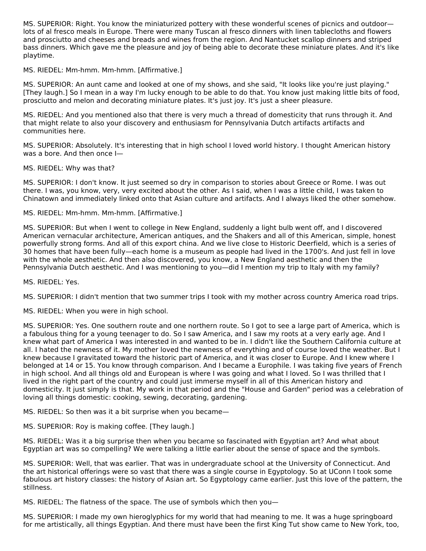MS. SUPERIOR: Right. You know the miniaturized pottery with these wonderful scenes of picnics and outdoor lots of al fresco meals in Europe. There were many Tuscan al fresco dinners with linen tablecloths and flowers and prosciutto and cheeses and breads and wines from the region. And Nantucket scallop dinners and striped bass dinners. Which gave me the pleasure and joy of being able to decorate these miniature plates. And it's like playtime.

# MS. RIEDEL: Mm-hmm. Mm-hmm. [Affirmative.]

MS. SUPERIOR: An aunt came and looked at one of my shows, and she said, "It looks like you're just playing." [They laugh.] So I mean in a way I'm lucky enough to be able to do that. You know just making little bits of food, prosciutto and melon and decorating miniature plates. It's just joy. It's just a sheer pleasure.

MS. RIEDEL: And you mentioned also that there is very much a thread of domesticity that runs through it. And that might relate to also your discovery and enthusiasm for Pennsylvania Dutch artifacts artifacts and communities here.

MS. SUPERIOR: Absolutely. It's interesting that in high school I loved world history. I thought American history was a bore. And then once I—

#### MS. RIEDEL: Why was that?

MS. SUPERIOR: I don't know. It just seemed so dry in comparison to stories about Greece or Rome. I was out there. I was, you know, very, very excited about the other. As I said, when I was a little child, I was taken to Chinatown and immediately linked onto that Asian culture and artifacts. And I always liked the other somehow.

# MS. RIEDEL: Mm-hmm. Mm-hmm. [Affirmative.]

MS. SUPERIOR: But when I went to college in New England, suddenly a light bulb went off, and I discovered American vernacular architecture, American antiques, and the Shakers and all of this American, simple, honest powerfully strong forms. And all of this export china. And we live close to Historic Deerfield, which is a series of 30 homes that have been fully—each home is a museum as people had lived in the 1700's. And just fell in love with the whole aesthetic. And then also discovered, you know, a New England aesthetic and then the Pennsylvania Dutch aesthetic. And I was mentioning to you—did I mention my trip to Italy with my family?

MS. RIEDEL: Yes.

MS. SUPERIOR: I didn't mention that two summer trips I took with my mother across country America road trips.

MS. RIEDEL: When you were in high school.

MS. SUPERIOR: Yes. One southern route and one northern route. So I got to see a large part of America, which is a fabulous thing for a young teenager to do. So I saw America, and I saw my roots at a very early age. And I knew what part of America I was interested in and wanted to be in. I didn't like the Southern California culture at all. I hated the newness of it. My mother loved the newness of everything and of course loved the weather. But I knew because I gravitated toward the historic part of America, and it was closer to Europe. And I knew where I belonged at 14 or 15. You know through comparison. And I became a Europhile. I was taking five years of French in high school. And all things old and European is where I was going and what I loved. So I was thrilled that I lived in the right part of the country and could just immerse myself in all of this American history and domesticity. It just simply is that. My work in that period and the "House and Garden" period was a celebration of loving all things domestic: cooking, sewing, decorating, gardening.

MS. RIEDEL: So then was it a bit surprise when you became—

MS. SUPERIOR: Roy is making coffee. [They laugh.]

MS. RIEDEL: Was it a big surprise then when you became so fascinated with Egyptian art? And what about Egyptian art was so compelling? We were talking a little earlier about the sense of space and the symbols.

MS. SUPERIOR: Well, that was earlier. That was in undergraduate school at the University of Connecticut. And the art historical offerings were so vast that there was a single course in Egyptology. So at UConn I took some fabulous art history classes: the history of Asian art. So Egyptology came earlier. Just this love of the pattern, the stillness.

MS. RIEDEL: The flatness of the space. The use of symbols which then you—

MS. SUPERIOR: I made my own hieroglyphics for my world that had meaning to me. It was a huge springboard for me artistically, all things Egyptian. And there must have been the first King Tut show came to New York, too,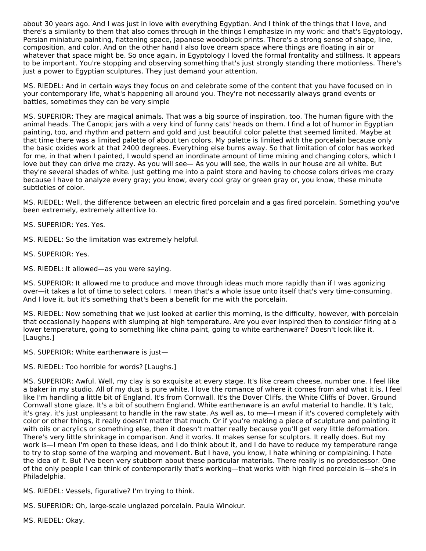about 30 years ago. And I was just in love with everything Egyptian. And I think of the things that I love, and there's a similarity to them that also comes through in the things I emphasize in my work: and that's Egyptology, Persian miniature painting, flattening space, Japanese woodblock prints. There's a strong sense of shape, line, composition, and color. And on the other hand I also love dream space where things are floating in air or whatever that space might be. So once again, in Egyptology I loved the formal frontality and stillness. It appears to be important. You're stopping and observing something that's just strongly standing there motionless. There's just a power to Egyptian sculptures. They just demand your attention.

MS. RIEDEL: And in certain ways they focus on and celebrate some of the content that you have focused on in your contemporary life, what's happening all around you. They're not necessarily always grand events or battles, sometimes they can be very simple

MS. SUPERIOR: They are magical animals. That was a big source of inspiration, too. The human figure with the animal heads. The Canopic jars with a very kind of funny cats' heads on them. I find a lot of humor in Egyptian painting, too, and rhythm and pattern and gold and just beautiful color palette that seemed limited. Maybe at that time there was a limited palette of about ten colors. My palette is limited with the porcelain because only the basic oxides work at that 2400 degrees. Everything else burns away. So that limitation of color has worked for me, in that when I painted, I would spend an inordinate amount of time mixing and changing colors, which I love but they can drive me crazy. As you will see— As you will see, the walls in our house are all white. But they're several shades of white. Just getting me into a paint store and having to choose colors drives me crazy because I have to analyze every gray; you know, every cool gray or green gray or, you know, these minute subtleties of color.

MS. RIEDEL: Well, the difference between an electric fired porcelain and a gas fired porcelain. Something you've been extremely, extremely attentive to.

MS. SUPERIOR: Yes. Yes.

MS. RIEDEL: So the limitation was extremely helpful.

MS. SUPERIOR: Yes.

MS. RIEDEL: It allowed—as you were saying.

MS. SUPERIOR: It allowed me to produce and move through ideas much more rapidly than if I was agonizing over—it takes a lot of time to select colors. I mean that's a whole issue unto itself that's very time-consuming. And I love it, but it's something that's been a benefit for me with the porcelain.

MS. RIEDEL: Now something that we just looked at earlier this morning, is the difficulty, however, with porcelain that occasionally happens with slumping at high temperature. Are you ever inspired then to consider firing at a lower temperature, going to something like china paint, going to white earthenware? Doesn't look like it. [Laughs.]

MS. SUPERIOR: White earthenware is just—

MS. RIEDEL: Too horrible for words? [Laughs.]

MS. SUPERIOR: Awful. Well, my clay is so exquisite at every stage. It's like cream cheese, number one. I feel like a baker in my studio. All of my dust is pure white. I love the romance of where it comes from and what it is. I feel like I'm handling a little bit of England. It's from Cornwall. It's the Dover Cliffs, the White Cliffs of Dover. Ground Cornwall stone glaze. It's a bit of southern England. White earthenware is an awful material to handle. It's talc, it's gray, it's just unpleasant to handle in the raw state. As well as, to me—I mean if it's covered completely with color or other things, it really doesn't matter that much. Or if you're making a piece of sculpture and painting it with oils or acrylics or something else, then it doesn't matter really because you'll get very little deformation. There's very little shrinkage in comparison. And it works. It makes sense for sculptors. It really does. But my work is—I mean I'm open to these ideas, and I do think about it, and I do have to reduce my temperature range to try to stop some of the warping and movement. But I have, you know, I hate whining or complaining. I hate the idea of it. But I've been very stubborn about these particular materials. There really is no predecessor. One of the only people I can think of contemporarily that's working—that works with high fired porcelain is—she's in Philadelphia.

MS. RIEDEL: Vessels, figurative? I'm trying to think.

MS. SUPERIOR: Oh, large-scale unglazed porcelain. Paula Winokur.

MS. RIEDEL: Okay.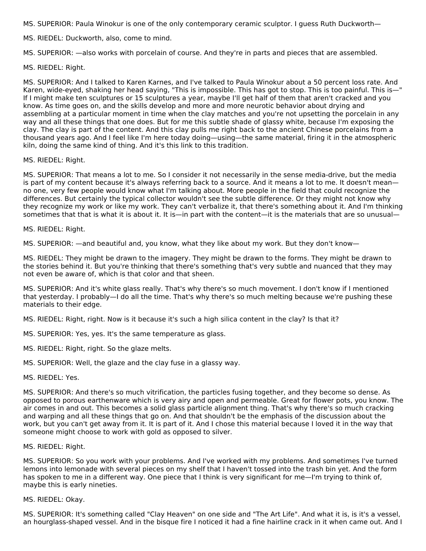MS. SUPERIOR: Paula Winokur is one of the only contemporary ceramic sculptor. I guess Ruth Duckworth—

MS. RIEDEL: Duckworth, also, come to mind.

MS. SUPERIOR: —also works with porcelain of course. And they're in parts and pieces that are assembled.

MS. RIEDEL: Right.

MS. SUPERIOR: And I talked to Karen Karnes, and I've talked to Paula Winokur about a 50 percent loss rate. And Karen, wide-eyed, shaking her head saying, "This is impossible. This has got to stop. This is too painful. This is—" If I might make ten sculptures or 15 sculptures a year, maybe I'll get half of them that aren't cracked and you know. As time goes on, and the skills develop and more and more neurotic behavior about drying and assembling at a particular moment in time when the clay matches and you're not upsetting the porcelain in any way and all these things that one does. But for me this subtle shade of glassy white, because I'm exposing the clay. The clay is part of the content. And this clay pulls me right back to the ancient Chinese porcelains from a thousand years ago. And I feel like I'm here today doing—using—the same material, firing it in the atmospheric kiln, doing the same kind of thing. And it's this link to this tradition.

#### MS. RIEDEL: Right.

MS. SUPERIOR: That means a lot to me. So I consider it not necessarily in the sense media-drive, but the media is part of my content because it's always referring back to a source. And it means a lot to me. It doesn't mean no one, very few people would know what I'm talking about. More people in the field that could recognize the differences. But certainly the typical collector wouldn't see the subtle difference. Or they might not know why they recognize my work or like my work. They can't verbalize it, that there's something about it. And I'm thinking sometimes that that is what it is about it. It is—in part with the content—it is the materials that are so unusual—

#### MS. RIEDEL: Right.

MS. SUPERIOR: —and beautiful and, you know, what they like about my work. But they don't know—

MS. RIEDEL: They might be drawn to the imagery. They might be drawn to the forms. They might be drawn to the stories behind it. But you're thinking that there's something that's very subtle and nuanced that they may not even be aware of, which is that color and that sheen.

MS. SUPERIOR: And it's white glass really. That's why there's so much movement. I don't know if I mentioned that yesterday. I probably—I do all the time. That's why there's so much melting because we're pushing these materials to their edge.

MS. RIEDEL: Right, right. Now is it because it's such a high silica content in the clay? Is that it?

MS. SUPERIOR: Yes, yes. It's the same temperature as glass.

MS. RIEDEL: Right, right. So the glaze melts.

MS. SUPERIOR: Well, the glaze and the clay fuse in a glassy way.

MS. RIEDEL: Yes.

MS. SUPERIOR: And there's so much vitrification, the particles fusing together, and they become so dense. As opposed to porous earthenware which is very airy and open and permeable. Great for flower pots, you know. The air comes in and out. This becomes a solid glass particle alignment thing. That's why there's so much cracking and warping and all these things that go on. And that shouldn't be the emphasis of the discussion about the work, but you can't get away from it. It is part of it. And I chose this material because I loved it in the way that someone might choose to work with gold as opposed to silver.

#### MS. RIEDEL: Right.

MS. SUPERIOR: So you work with your problems. And I've worked with my problems. And sometimes I've turned lemons into lemonade with several pieces on my shelf that I haven't tossed into the trash bin yet. And the form has spoken to me in a different way. One piece that I think is very significant for me—I'm trying to think of, maybe this is early nineties.

#### MS. RIEDEL: Okay.

MS. SUPERIOR: It's something called "Clay Heaven" on one side and "The Art Life". And what it is, is it's a vessel, an hourglass-shaped vessel. And in the bisque fire I noticed it had a fine hairline crack in it when came out. And I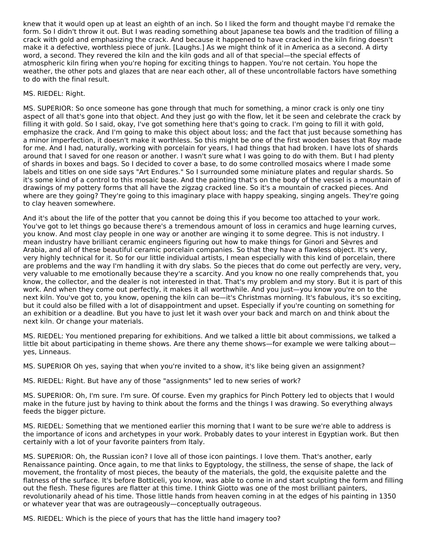knew that it would open up at least an eighth of an inch. So I liked the form and thought maybe I'd remake the form. So I didn't throw it out. But I was reading something about Japanese tea bowls and the tradition of filling a crack with gold and emphasizing the crack. And because it happened to have cracked in the kiln firing doesn't make it a defective, worthless piece of junk. [Laughs.] As we might think of it in America as a second. A dirty word, a second. They revered the kiln and the kiln gods and all of that special—the special effects of atmospheric kiln firing when you're hoping for exciting things to happen. You're not certain. You hope the weather, the other pots and glazes that are near each other, all of these uncontrollable factors have something to do with the final result.

## MS. RIEDEL: Right.

MS. SUPERIOR: So once someone has gone through that much for something, a minor crack is only one tiny aspect of all that's gone into that object. And they just go with the flow, let it be seen and celebrate the crack by filling it with gold. So I said, okay, I've got something here that's going to crack. I'm going to fill it with gold, emphasize the crack. And I'm going to make this object about loss; and the fact that just because something has a minor imperfection, it doesn't make it worthless. So this might be one of the first wooden bases that Roy made for me. And I had, naturally, working with porcelain for years, I had things that had broken. I have lots of shards around that I saved for one reason or another. I wasn't sure what I was going to do with them. But I had plenty of shards in boxes and bags. So I decided to cover a base, to do some controlled mosaics where I made some labels and titles on one side says "Art Endures." So I surrounded some miniature plates and regular shards. So it's some kind of a control to this mosaic base. And the painting that's on the body of the vessel is a mountain of drawings of my pottery forms that all have the zigzag cracked line. So it's a mountain of cracked pieces. And where are they going? They're going to this imaginary place with happy speaking, singing angels. They're going to clay heaven somewhere.

And it's about the life of the potter that you cannot be doing this if you become too attached to your work. You've got to let things go because there's a tremendous amount of loss in ceramics and huge learning curves, you know. And most clay people in one way or another are winging it to some degree. This is not industry. I mean industry have brilliant ceramic engineers figuring out how to make things for Ginori and Sèvres and Arabia, and all of these beautiful ceramic porcelain companies. So that they have a flawless object. It's very, very highly technical for it. So for our little individual artists, I mean especially with this kind of porcelain, there are problems and the way I'm handling it with dry slabs. So the pieces that do come out perfectly are very, very, very valuable to me emotionally because they're a scarcity. And you know no one really comprehends that, you know, the collector, and the dealer is not interested in that. That's my problem and my story. But it is part of this work. And when they come out perfectly, it makes it all worthwhile. And you just—you know you're on to the next kiln. You've got to, you know, opening the kiln can be—it's Christmas morning. It's fabulous, it's so exciting, but it could also be filled with a lot of disappointment and upset. Especially if you're counting on something for an exhibition or a deadline. But you have to just let it wash over your back and march on and think about the next kiln. Or change your materials.

MS. RIEDEL: You mentioned preparing for exhibitions. And we talked a little bit about commissions, we talked a little bit about participating in theme shows. Are there any theme shows—for example we were talking about yes, Linneaus.

MS. SUPERIOR Oh yes, saying that when you're invited to a show, it's like being given an assignment?

MS. RIEDEL: Right. But have any of those "assignments" led to new series of work?

MS. SUPERIOR: Oh, I'm sure. I'm sure. Of course. Even my graphics for Pinch Pottery led to objects that I would make in the future just by having to think about the forms and the things I was drawing. So everything always feeds the bigger picture.

MS. RIEDEL: Something that we mentioned earlier this morning that I want to be sure we're able to address is the importance of icons and archetypes in your work. Probably dates to your interest in Egyptian work. But then certainly with a lot of your favorite painters from Italy.

MS. SUPERIOR: Oh, the Russian icon? I love all of those icon paintings. I love them. That's another, early Renaissance painting. Once again, to me that links to Egyptology, the stillness, the sense of shape, the lack of movement, the frontality of most pieces, the beauty of the materials, the gold, the exquisite palette and the flatness of the surface. It's before Botticeli, you know, was able to come in and start sculpting the form and filling out the flesh. These figures are flatter at this time. I think Giotto was one of the most brilliant painters, revolutionarily ahead of his time. Those little hands from heaven coming in at the edges of his painting in 1350 or whatever year that was are outrageously—conceptually outrageous.

MS. RIEDEL: Which is the piece of yours that has the little hand imagery too?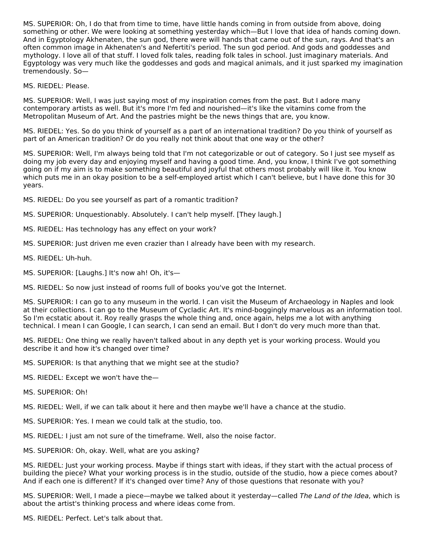MS. SUPERIOR: Oh, I do that from time to time, have little hands coming in from outside from above, doing something or other. We were looking at something yesterday which—But I love that idea of hands coming down. And in Egyptology Akhenaten, the sun god, there were will hands that came out of the sun, rays. And that's an often common image in Akhenaten's and Nefertiti's period. The sun god period. And gods and goddesses and mythology. I love all of that stuff. I loved folk tales, reading folk tales in school. Just imaginary materials. And Egyptology was very much like the goddesses and gods and magical animals, and it just sparked my imagination tremendously. So—

MS. RIEDEL: Please.

MS. SUPERIOR: Well, I was just saying most of my inspiration comes from the past. But I adore many contemporary artists as well. But it's more I'm fed and nourished—it's like the vitamins come from the Metropolitan Museum of Art. And the pastries might be the news things that are, you know.

MS. RIEDEL: Yes. So do you think of yourself as a part of an international tradition? Do you think of yourself as part of an American tradition? Or do you really not think about that one way or the other?

MS. SUPERIOR: Well, I'm always being told that I'm not categorizable or out of category. So I just see myself as doing my job every day and enjoying myself and having a good time. And, you know, I think I've got something going on if my aim is to make something beautiful and joyful that others most probably will like it. You know which puts me in an okay position to be a self-employed artist which I can't believe, but I have done this for 30 years.

MS. RIEDEL: Do you see yourself as part of a romantic tradition?

MS. SUPERIOR: Unquestionably. Absolutely. I can't help myself. [They laugh.]

- MS. RIEDEL: Has technology has any effect on your work?
- MS. SUPERIOR: Just driven me even crazier than I already have been with my research.
- MS. RIEDEL: Uh-huh.
- MS. SUPERIOR: [Laughs.] It's now ah! Oh, it's—

MS. RIEDEL: So now just instead of rooms full of books you've got the Internet.

MS. SUPERIOR: I can go to any museum in the world. I can visit the Museum of Archaeology in Naples and look at their collections. I can go to the Museum of Cycladic Art. It's mind-boggingly marvelous as an information tool. So I'm ecstatic about it. Roy really grasps the whole thing and, once again, helps me a lot with anything technical. I mean I can Google, I can search, I can send an email. But I don't do very much more than that.

MS. RIEDEL: One thing we really haven't talked about in any depth yet is your working process. Would you describe it and how it's changed over time?

MS. SUPERIOR: Is that anything that we might see at the studio?

- MS. RIEDEL: Except we won't have the—
- MS. SUPERIOR: Oh!

MS. RIEDEL: Well, if we can talk about it here and then maybe we'll have a chance at the studio.

- MS. SUPERIOR: Yes. I mean we could talk at the studio, too.
- MS. RIEDEL: I just am not sure of the timeframe. Well, also the noise factor.
- MS. SUPERIOR: Oh, okay. Well, what are you asking?

MS. RIEDEL: Just your working process. Maybe if things start with ideas, if they start with the actual process of building the piece? What your working process is in the studio, outside of the studio, how a piece comes about? And if each one is different? If it's changed over time? Any of those questions that resonate with you?

MS. SUPERIOR: Well, I made a piece—maybe we talked about it yesterday—called The Land of the Idea, which is about the artist's thinking process and where ideas come from.

MS. RIEDEL: Perfect. Let's talk about that.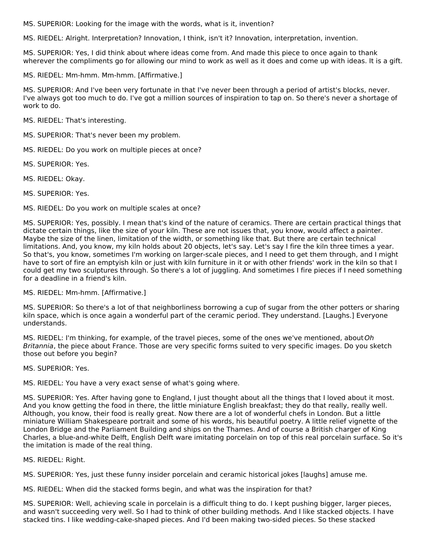MS. SUPERIOR: Looking for the image with the words, what is it, invention?

MS. RIEDEL: Alright. Interpretation? Innovation, I think, isn't it? Innovation, interpretation, invention.

MS. SUPERIOR: Yes, I did think about where ideas come from. And made this piece to once again to thank wherever the compliments go for allowing our mind to work as well as it does and come up with ideas. It is a gift.

MS. RIEDEL: Mm-hmm. Mm-hmm. [Affirmative.]

MS. SUPERIOR: And I've been very fortunate in that I've never been through a period of artist's blocks, never. I've always got too much to do. I've got a million sources of inspiration to tap on. So there's never a shortage of work to do.

MS. RIEDEL: That's interesting.

MS. SUPERIOR: That's never been my problem.

- MS. RIEDEL: Do you work on multiple pieces at once?
- MS. SUPERIOR: Yes.
- MS. RIEDEL: Okay.

MS. SUPERIOR: Yes.

MS. RIEDEL: Do you work on multiple scales at once?

MS. SUPERIOR: Yes, possibly. I mean that's kind of the nature of ceramics. There are certain practical things that dictate certain things, like the size of your kiln. These are not issues that, you know, would affect a painter. Maybe the size of the linen, limitation of the width, or something like that. But there are certain technical limitations. And, you know, my kiln holds about 20 objects, let's say. Let's say I fire the kiln three times a year. So that's, you know, sometimes I'm working on larger-scale pieces, and I need to get them through, and I might have to sort of fire an emptyish kiln or just with kiln furniture in it or with other friends' work in the kiln so that I could get my two sculptures through. So there's a lot of juggling. And sometimes I fire pieces if I need something for a deadline in a friend's kiln.

#### MS. RIEDEL: Mm-hmm. [Affirmative.]

MS. SUPERIOR: So there's a lot of that neighborliness borrowing a cup of sugar from the other potters or sharing kiln space, which is once again a wonderful part of the ceramic period. They understand. [Laughs.] Everyone understands.

MS. RIEDEL: I'm thinking, for example, of the travel pieces, some of the ones we've mentioned, aboutOh Britannia, the piece about France. Those are very specific forms suited to very specific images. Do you sketch those out before you begin?

MS. SUPERIOR: Yes.

MS. RIEDEL: You have a very exact sense of what's going where.

MS. SUPERIOR: Yes. After having gone to England, I just thought about all the things that I loved about it most. And you know getting the food in there, the little miniature English breakfast; they do that really, really well. Although, you know, their food is really great. Now there are a lot of wonderful chefs in London. But a little miniature William Shakespeare portrait and some of his words, his beautiful poetry. A little relief vignette of the London Bridge and the Parliament Building and ships on the Thames. And of course a British charger of King Charles, a blue-and-white Delft, English Delft ware imitating porcelain on top of this real porcelain surface. So it's the imitation is made of the real thing.

#### MS. RIEDEL: Right.

MS. SUPERIOR: Yes, just these funny insider porcelain and ceramic historical jokes [laughs] amuse me.

MS. RIEDEL: When did the stacked forms begin, and what was the inspiration for that?

MS. SUPERIOR: Well, achieving scale in porcelain is a difficult thing to do. I kept pushing bigger, larger pieces, and wasn't succeeding very well. So I had to think of other building methods. And I like stacked objects. I have stacked tins. I like wedding-cake-shaped pieces. And I'd been making two-sided pieces. So these stacked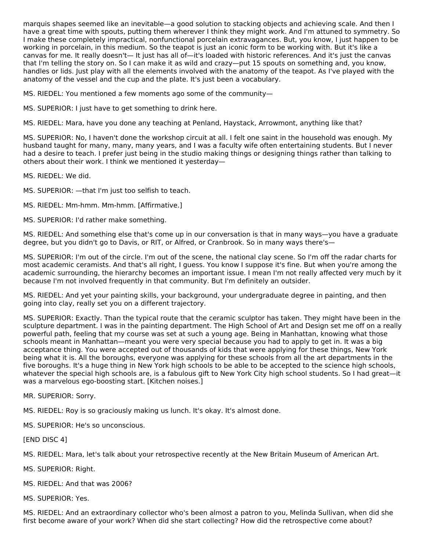marquis shapes seemed like an inevitable—a good solution to stacking objects and achieving scale. And then I have a great time with spouts, putting them wherever I think they might work. And I'm attuned to symmetry. So I make these completely impractical, nonfunctional porcelain extravagances. But, you know, I just happen to be working in porcelain, in this medium. So the teapot is just an iconic form to be working with. But it's like a canvas for me. It really doesn't— It just has all of—it's loaded with historic references. And it's just the canvas that I'm telling the story on. So I can make it as wild and crazy—put 15 spouts on something and, you know, handles or lids. Just play with all the elements involved with the anatomy of the teapot. As I've played with the anatomy of the vessel and the cup and the plate. It's just been a vocabulary.

MS. RIEDEL: You mentioned a few moments ago some of the community—

MS. SUPERIOR: I just have to get something to drink here.

MS. RIEDEL: Mara, have you done any teaching at Penland, Haystack, Arrowmont, anything like that?

MS. SUPERIOR: No, I haven't done the workshop circuit at all. I felt one saint in the household was enough. My husband taught for many, many, many years, and I was a faculty wife often entertaining students. But I never had a desire to teach. I prefer just being in the studio making things or designing things rather than talking to others about their work. I think we mentioned it yesterday—

MS. RIEDEL: We did.

MS. SUPERIOR: —that I'm just too selfish to teach.

MS. RIEDEL: Mm-hmm. Mm-hmm. [Affirmative.]

MS. SUPERIOR: I'd rather make something.

MS. RIEDEL: And something else that's come up in our conversation is that in many ways—you have a graduate degree, but you didn't go to Davis, or RIT, or Alfred, or Cranbrook. So in many ways there's—

MS. SUPERIOR: I'm out of the circle. I'm out of the scene, the national clay scene. So I'm off the radar charts for most academic ceramists. And that's all right, I guess. You know I suppose it's fine. But when you're among the academic surrounding, the hierarchy becomes an important issue. I mean I'm not really affected very much by it because I'm not involved frequently in that community. But I'm definitely an outsider.

MS. RIEDEL: And yet your painting skills, your background, your undergraduate degree in painting, and then going into clay, really set you on a different trajectory.

MS. SUPERIOR: Exactly. Than the typical route that the ceramic sculptor has taken. They might have been in the sculpture department. I was in the painting department. The High School of Art and Design set me off on a really powerful path, feeling that my course was set at such a young age. Being in Manhattan, knowing what those schools meant in Manhattan—meant you were very special because you had to apply to get in. It was a big acceptance thing. You were accepted out of thousands of kids that were applying for these things, New York being what it is. All the boroughs, everyone was applying for these schools from all the art departments in the five boroughs. It's a huge thing in New York high schools to be able to be accepted to the science high schools, whatever the special high schools are, is a fabulous gift to New York City high school students. So I had great—it was a marvelous ego-boosting start. [Kitchen noises.]

MR. SUPERIOR: Sorry.

MS. RIEDEL: Roy is so graciously making us lunch. It's okay. It's almost done.

MS. SUPERIOR: He's so unconscious.

[END DISC 4]

MS. RIEDEL: Mara, let's talk about your retrospective recently at the New Britain Museum of American Art.

MS. SUPERIOR: Right.

MS. RIEDEL: And that was 2006?

MS. SUPERIOR: Yes.

MS. RIEDEL: And an extraordinary collector who's been almost a patron to you, Melinda Sullivan, when did she first become aware of your work? When did she start collecting? How did the retrospective come about?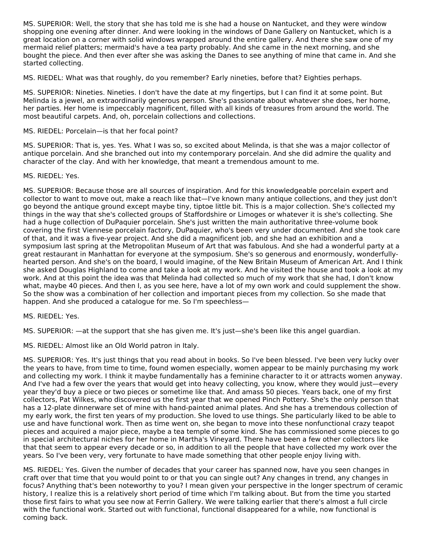MS. SUPERIOR: Well, the story that she has told me is she had a house on Nantucket, and they were window shopping one evening after dinner. And were looking in the windows of Dane Gallery on Nantucket, which is a great location on a corner with solid windows wrapped around the entire gallery. And there she saw one of my mermaid relief platters; mermaid's have a tea party probably. And she came in the next morning, and she bought the piece. And then ever after she was asking the Danes to see anything of mine that came in. And she started collecting.

MS. RIEDEL: What was that roughly, do you remember? Early nineties, before that? Eighties perhaps.

MS. SUPERIOR: Nineties. Nineties. I don't have the date at my fingertips, but I can find it at some point. But Melinda is a jewel, an extraordinarily generous person. She's passionate about whatever she does, her home, her parties. Her home is impeccably magnificent, filled with all kinds of treasures from around the world. The most beautiful carpets. And, oh, porcelain collections and collections.

## MS. RIEDEL: Porcelain—is that her focal point?

MS. SUPERIOR: That is, yes. Yes. What I was so, so excited about Melinda, is that she was a major collector of antique porcelain. And she branched out into my contemporary porcelain. And she did admire the quality and character of the clay. And with her knowledge, that meant a tremendous amount to me.

# MS. RIEDEL: Yes.

MS. SUPERIOR: Because those are all sources of inspiration. And for this knowledgeable porcelain expert and collector to want to move out, make a reach like that—I've known many antique collections, and they just don't go beyond the antique ground except maybe tiny, tiptoe little bit. This is a major collection. She's collected my things in the way that she's collected groups of Staffordshire or Limoges or whatever it is she's collecting. She had a huge collection of DuPaquier porcelain. She's just written the main authoritative three-volume book covering the first Viennese porcelain factory, DuPaquier, who's been very under documented. And she took care of that, and it was a five-year project. And she did a magnificent job, and she had an exhibition and a symposium last spring at the Metropolitan Museum of Art that was fabulous. And she had a wonderful party at a great restaurant in Manhattan for everyone at the symposium. She's so generous and enormously, wonderfullyhearted person. And she's on the board, I would imagine, of the New Britain Museum of American Art. And I think she asked Douglas Highland to come and take a look at my work. And he visited the house and took a look at my work. And at this point the idea was that Melinda had collected so much of my work that she had, I don't know what, maybe 40 pieces. And then I, as you see here, have a lot of my own work and could supplement the show. So the show was a combination of her collection and important pieces from my collection. So she made that happen. And she produced a catalogue for me. So I'm speechless—

#### MS. RIEDEL: Yes.

MS. SUPERIOR: —at the support that she has given me. It's just—she's been like this angel guardian.

MS. RIEDEL: Almost like an Old World patron in Italy.

MS. SUPERIOR: Yes. It's just things that you read about in books. So I've been blessed. I've been very lucky over the years to have, from time to time, found women especially, women appear to be mainly purchasing my work and collecting my work. I think it maybe fundamentally has a feminine character to it or attracts women anyway. And I've had a few over the years that would get into heavy collecting, you know, where they would just—every year they'd buy a piece or two pieces or sometime like that. And amass 50 pieces. Years back, one of my first collectors, Pat Wilkes, who discovered us the first year that we opened Pinch Pottery. She's the only person that has a 12-plate dinnerware set of mine with hand-painted animal plates. And she has a tremendous collection of my early work, the first ten years of my production. She loved to use things. She particularly liked to be able to use and have functional work. Then as time went on, she began to move into these nonfunctional crazy teapot pieces and acquired a major piece, maybe a tea temple of some kind. She has commissioned some pieces to go in special architectural niches for her home in Martha's Vineyard. There have been a few other collectors like that that seem to appear every decade or so, in addition to all the people that have collected my work over the years. So I've been very, very fortunate to have made something that other people enjoy living with.

MS. RIEDEL: Yes. Given the number of decades that your career has spanned now, have you seen changes in craft over that time that you would point to or that you can single out? Any changes in trend, any changes in focus? Anything that's been noteworthy to you? I mean given your perspective in the longer spectrum of ceramic history, I realize this is a relatively short period of time which I'm talking about. But from the time you started those first fairs to what you see now at Ferrin Gallery. We were talking earlier that there's almost a full circle with the functional work. Started out with functional, functional disappeared for a while, now functional is coming back.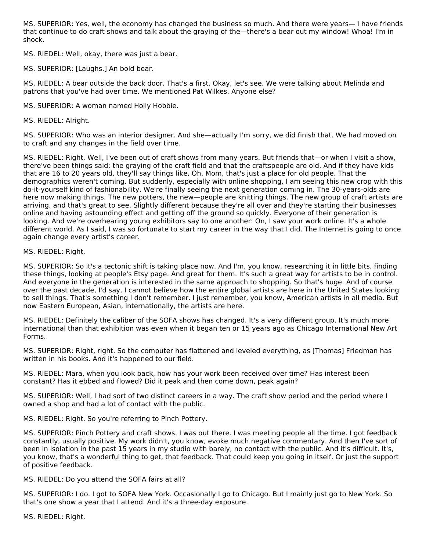MS. SUPERIOR: Yes, well, the economy has changed the business so much. And there were years— I have friends that continue to do craft shows and talk about the graying of the—there's a bear out my window! Whoa! I'm in shock.

MS. RIEDEL: Well, okay, there was just a bear.

MS. SUPERIOR: [Laughs.] An bold bear.

MS. RIEDEL: A bear outside the back door. That's a first. Okay, let's see. We were talking about Melinda and patrons that you've had over time. We mentioned Pat Wilkes. Anyone else?

MS. SUPERIOR: A woman named Holly Hobbie.

MS. RIEDEL: Alright.

MS. SUPERIOR: Who was an interior designer. And she—actually I'm sorry, we did finish that. We had moved on to craft and any changes in the field over time.

MS. RIEDEL: Right. Well, I've been out of craft shows from many years. But friends that—or when I visit a show, there've been things said: the graying of the craft field and that the craftspeople are old. And if they have kids that are 16 to 20 years old, they'll say things like, Oh, Mom, that's just a place for old people. That the demographics weren't coming. But suddenly, especially with online shopping, I am seeing this new crop with this do-it-yourself kind of fashionability. We're finally seeing the next generation coming in. The 30-years-olds are here now making things. The new potters, the new—people are knitting things. The new group of craft artists are arriving, and that's great to see. Slightly different because they're all over and they're starting their businesses online and having astounding effect and getting off the ground so quickly. Everyone of their generation is looking. And we're overhearing young exhibitors say to one another: On, I saw your work online. It's a whole different world. As I said, I was so fortunate to start my career in the way that I did. The Internet is going to once again change every artist's career.

#### MS. RIEDEL: Right.

MS. SUPERIOR: So it's a tectonic shift is taking place now. And I'm, you know, researching it in little bits, finding these things, looking at people's Etsy page. And great for them. It's such a great way for artists to be in control. And everyone in the generation is interested in the same approach to shopping. So that's huge. And of course over the past decade, I'd say, I cannot believe how the entire global artists are here in the United States looking to sell things. That's something I don't remember. I just remember, you know, American artists in all media. But now Eastern European, Asian, internationally, the artists are here.

MS. RIEDEL: Definitely the caliber of the SOFA shows has changed. It's a very different group. It's much more international than that exhibition was even when it began ten or 15 years ago as Chicago International New Art Forms.

MS. SUPERIOR: Right, right. So the computer has flattened and leveled everything, as [Thomas] Friedman has written in his books. And it's happened to our field.

MS. RIEDEL: Mara, when you look back, how has your work been received over time? Has interest been constant? Has it ebbed and flowed? Did it peak and then come down, peak again?

MS. SUPERIOR: Well, I had sort of two distinct careers in a way. The craft show period and the period where I owned a shop and had a lot of contact with the public.

MS. RIEDEL: Right. So you're referring to Pinch Pottery.

MS. SUPERIOR: Pinch Pottery and craft shows. I was out there. I was meeting people all the time. I got feedback constantly, usually positive. My work didn't, you know, evoke much negative commentary. And then I've sort of been in isolation in the past 15 years in my studio with barely, no contact with the public. And it's difficult. It's, you know, that's a wonderful thing to get, that feedback. That could keep you going in itself. Or just the support of positive feedback.

MS. RIEDEL: Do you attend the SOFA fairs at all?

MS. SUPERIOR: I do. I got to SOFA New York. Occasionally I go to Chicago. But I mainly just go to New York. So that's one show a year that I attend. And it's a three-day exposure.

MS. RIEDEL: Right.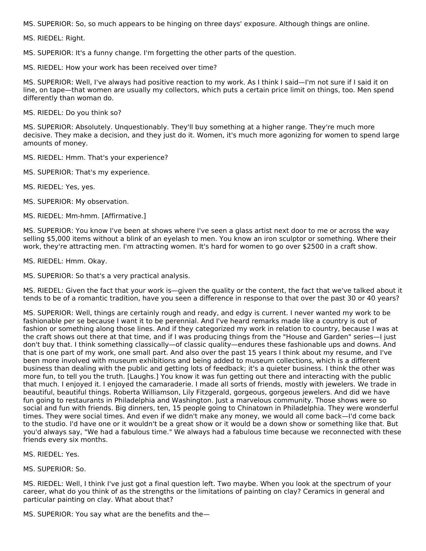MS. SUPERIOR: So, so much appears to be hinging on three days' exposure. Although things are online.

MS. RIEDEL: Right.

MS. SUPERIOR: It's a funny change. I'm forgetting the other parts of the question.

MS. RIEDEL: How your work has been received over time?

MS. SUPERIOR: Well, I've always had positive reaction to my work. As I think I said—I'm not sure if I said it on line, on tape—that women are usually my collectors, which puts a certain price limit on things, too. Men spend differently than woman do.

MS. RIEDEL: Do you think so?

MS. SUPERIOR: Absolutely. Unquestionably. They'll buy something at a higher range. They're much more decisive. They make a decision, and they just do it. Women, it's much more agonizing for women to spend large amounts of money.

MS. RIEDEL: Hmm. That's your experience?

MS. SUPERIOR: That's my experience.

MS. RIEDEL: Yes, yes.

MS. SUPERIOR: My observation.

MS. RIEDEL: Mm-hmm. [Affirmative.]

MS. SUPERIOR: You know I've been at shows where I've seen a glass artist next door to me or across the way selling \$5,000 items without a blink of an eyelash to men. You know an iron sculptor or something. Where their work, they're attracting men. I'm attracting women. It's hard for women to go over \$2500 in a craft show.

MS. RIEDEL: Hmm. Okay.

MS. SUPERIOR: So that's a very practical analysis.

MS. RIEDEL: Given the fact that your work is—given the quality or the content, the fact that we've talked about it tends to be of a romantic tradition, have you seen a difference in response to that over the past 30 or 40 years?

MS. SUPERIOR: Well, things are certainly rough and ready, and edgy is current. I never wanted my work to be fashionable per se because I want it to be perennial. And I've heard remarks made like a country is out of fashion or something along those lines. And if they categorized my work in relation to country, because I was at the craft shows out there at that time, and if I was producing things from the "House and Garden" series—I just don't buy that. I think something classically—of classic quality—endures these fashionable ups and downs. And that is one part of my work, one small part. And also over the past 15 years I think about my resume, and I've been more involved with museum exhibitions and being added to museum collections, which is a different business than dealing with the public and getting lots of feedback; it's a quieter business. I think the other was more fun, to tell you the truth. [Laughs.] You know it was fun getting out there and interacting with the public that much. I enjoyed it. I enjoyed the camaraderie. I made all sorts of friends, mostly with jewelers. We trade in beautiful, beautiful things. Roberta Williamson, Lily Fitzgerald, gorgeous, gorgeous jewelers. And did we have fun going to restaurants in Philadelphia and Washington. Just a marvelous community. Those shows were so social and fun with friends. Big dinners, ten, 15 people going to Chinatown in Philadelphia. They were wonderful times. They were social times. And even if we didn't make any money, we would all come back—I'd come back to the studio. I'd have one or it wouldn't be a great show or it would be a down show or something like that. But you'd always say, "We had a fabulous time." We always had a fabulous time because we reconnected with these friends every six months.

MS. RIEDEL: Yes.

MS. SUPERIOR: So.

MS. RIEDEL: Well, I think I've just got a final question left. Two maybe. When you look at the spectrum of your career, what do you think of as the strengths or the limitations of painting on clay? Ceramics in general and particular painting on clay. What about that?

MS. SUPERIOR: You say what are the benefits and the—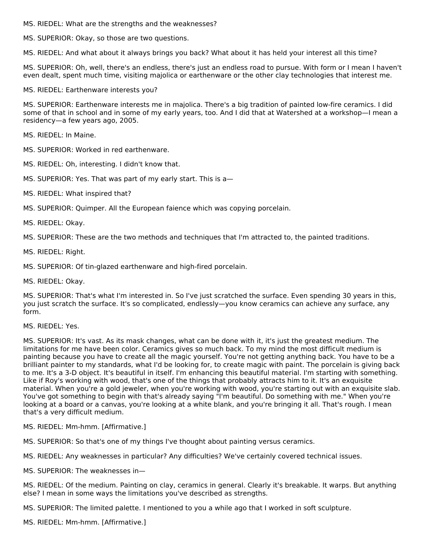MS. RIEDEL: What are the strengths and the weaknesses?

MS. SUPERIOR: Okay, so those are two questions.

MS. RIEDEL: And what about it always brings you back? What about it has held your interest all this time?

MS. SUPERIOR: Oh, well, there's an endless, there's just an endless road to pursue. With form or I mean I haven't even dealt, spent much time, visiting majolica or earthenware or the other clay technologies that interest me.

MS. RIEDEL: Earthenware interests you?

MS. SUPERIOR: Earthenware interests me in majolica. There's a big tradition of painted low-fire ceramics. I did some of that in school and in some of my early years, too. And I did that at Watershed at a workshop—I mean a residency—a few years ago, 2005.

MS. RIEDEL: In Maine.

MS. SUPERIOR: Worked in red earthenware.

MS. RIEDEL: Oh, interesting. I didn't know that.

MS. SUPERIOR: Yes. That was part of my early start. This is a—

MS. RIEDEL: What inspired that?

MS. SUPERIOR: Quimper. All the European faience which was copying porcelain.

MS. RIEDEL: Okay.

MS. SUPERIOR: These are the two methods and techniques that I'm attracted to, the painted traditions.

MS. RIEDEL: Right.

MS. SUPERIOR: Of tin-glazed earthenware and high-fired porcelain.

MS. RIEDEL: Okay.

MS. SUPERIOR: That's what I'm interested in. So I've just scratched the surface. Even spending 30 years in this, you just scratch the surface. It's so complicated, endlessly—you know ceramics can achieve any surface, any form.

# MS. RIEDEL: Yes.

MS. SUPERIOR: It's vast. As its mask changes, what can be done with it, it's just the greatest medium. The limitations for me have been color. Ceramics gives so much back. To my mind the most difficult medium is painting because you have to create all the magic yourself. You're not getting anything back. You have to be a brilliant painter to my standards, what I'd be looking for, to create magic with paint. The porcelain is giving back to me. It's a 3-D object. It's beautiful in itself. I'm enhancing this beautiful material. I'm starting with something. Like if Roy's working with wood, that's one of the things that probably attracts him to it. It's an exquisite material. When you're a gold jeweler, when you're working with wood, you're starting out with an exquisite slab. You've got something to begin with that's already saying "I'm beautiful. Do something with me." When you're looking at a board or a canvas, you're looking at a white blank, and you're bringing it all. That's rough. I mean that's a very difficult medium.

MS. RIEDEL: Mm-hmm. [Affirmative.]

MS. SUPERIOR: So that's one of my things I've thought about painting versus ceramics.

MS. RIEDEL: Any weaknesses in particular? Any difficulties? We've certainly covered technical issues.

MS. SUPERIOR: The weaknesses in—

MS. RIEDEL: Of the medium. Painting on clay, ceramics in general. Clearly it's breakable. It warps. But anything else? I mean in some ways the limitations you've described as strengths.

MS. SUPERIOR: The limited palette. I mentioned to you a while ago that I worked in soft sculpture.

MS. RIEDEL: Mm-hmm. [Affirmative.]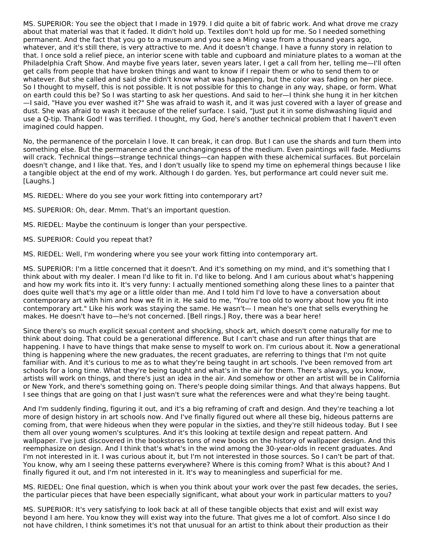MS. SUPERIOR: You see the object that I made in 1979. I did quite a bit of fabric work. And what drove me crazy about that material was that it faded. It didn't hold up. Textiles don't hold up for me. So I needed something permanent. And the fact that you go to a museum and you see a Ming vase from a thousand years ago, whatever, and it's still there, is very attractive to me. And it doesn't change. I have a funny story in relation to that. I once sold a relief piece, an interior scene with table and cupboard and miniature plates to a woman at the Philadelphia Craft Show. And maybe five years later, seven years later, I get a call from her, telling me—I'll often get calls from people that have broken things and want to know if I repair them or who to send them to or whatever. But she called and said she didn't know what was happening, but the color was fading on her piece. So I thought to myself, this is not possible. It is not possible for this to change in any way, shape, or form. What on earth could this be? So I was starting to ask her questions. And said to her—I think she hung it in her kitchen —I said, "Have you ever washed it?" She was afraid to wash it, and it was just covered with a layer of grease and dust. She was afraid to wash it because of the relief surface. I said, "Just put it in some dishwashing liquid and use a Q-tip. Thank God! I was terrified. I thought, my God, here's another technical problem that I haven't even imagined could happen.

No, the permanence of the porcelain I love. It can break, it can drop. But I can use the shards and turn them into something else. But the permanence and the unchangingness of the medium. Even paintings will fade. Mediums will crack. Technical things—strange technical things—can happen with these alchemical surfaces. But porcelain doesn't change, and I like that. Yes, and I don't usually like to spend my time on ephemeral things because I like a tangible object at the end of my work. Although I do garden. Yes, but performance art could never suit me. [Laughs.]

MS. RIEDEL: Where do you see your work fitting into contemporary art?

- MS. SUPERIOR: Oh, dear. Mmm. That's an important question.
- MS. RIEDEL: Maybe the continuum is longer than your perspective.
- MS. SUPERIOR: Could you repeat that?

MS. RIEDEL: Well, I'm wondering where you see your work fitting into contemporary art.

MS. SUPERIOR: I'm a little concerned that it doesn't. And it's something on my mind, and it's something that I think about with my dealer. I mean I'd like to fit in. I'd like to belong. And I am curious about what's happening and how my work fits into it. It's very funny: I actually mentioned something along these lines to a painter that does quite well that's my age or a little older than me. And I told him I'd love to have a conversation about contemporary art with him and how we fit in it. He said to me, "You're too old to worry about how you fit into contemporary art." Like his work was staying the same. He wasn't— I mean he's one that sells everything he makes. He doesn't have to—he's not concerned. [Bell rings.] Roy, there was a bear here!

Since there's so much explicit sexual content and shocking, shock art, which doesn't come naturally for me to think about doing. That could be a generational difference. But I can't chase and run after things that are happening. I have to have things that make sense to myself to work on. I'm curious about it. Now a generational thing is happening where the new graduates, the recent graduates, are referring to things that I'm not quite familiar with. And it's curious to me as to what they're being taught in art schools. I've been removed from art schools for a long time. What they're being taught and what's in the air for them. There's always, you know, artists will work on things, and there's just an idea in the air. And somehow or other an artist will be in California or New York, and there's something going on. There's people doing similar things. And that always happens. But I see things that are going on that I just wasn't sure what the references were and what they're being taught.

And I'm suddenly finding, figuring it out, and it's a big reframing of craft and design. And they're teaching a lot more of design history in art schools now. And I've finally figured out where all these big, hideous patterns are coming from, that were hideous when they were popular in the sixties, and they're still hideous today. But I see them all over young women's sculptures. And it's this looking at textile design and repeat pattern. And wallpaper. I've just discovered in the bookstores tons of new books on the history of wallpaper design. And this reemphasize on design. And I think that's what's in the wind among the 30-year-olds in recent graduates. And I'm not interested in it. I was curious about it, but I'm not interested in those sources. So I can't be part of that. You know, why am I seeing these patterns everywhere? Where is this coming from? What is this about? And I finally figured it out, and I'm not interested in it. It's way to meaningless and superficial for me.

MS. RIEDEL: One final question, which is when you think about your work over the past few decades, the series, the particular pieces that have been especially significant, what about your work in particular matters to you?

MS. SUPERIOR: It's very satisfying to look back at all of these tangible objects that exist and will exist way beyond I am here. You know they will exist way into the future. That gives me a lot of comfort. Also since I do not have children, I think sometimes it's not that unusual for an artist to think about their production as their